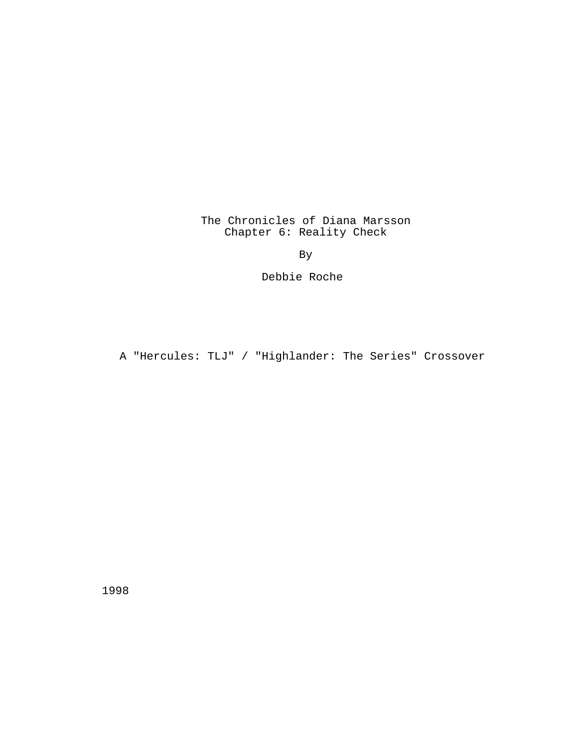The Chronicles of Diana Marsson Chapter 6: Reality Check

By

Debbie Roche

A "Hercules: TLJ" / "Highlander: The Series" Crossover

1998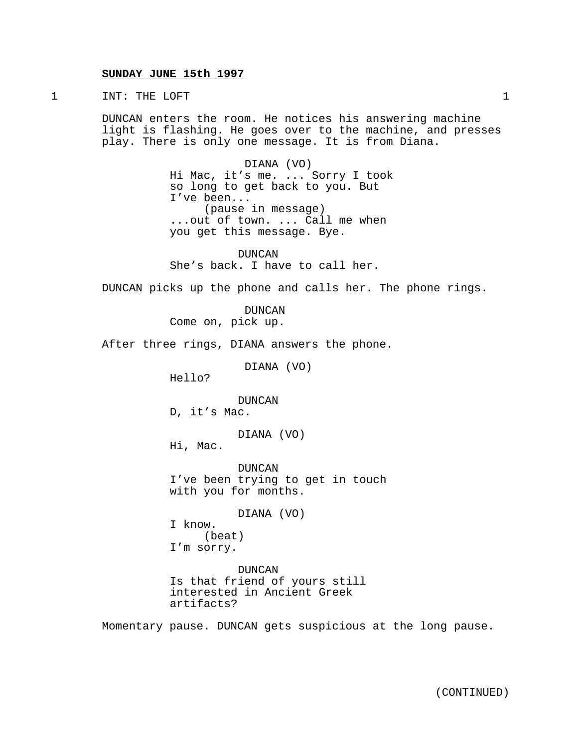### **SUNDAY JUNE 15th 1997**

1 INT: THE LOFT 1

DUNCAN enters the room. He notices his answering machine light is flashing. He goes over to the machine, and presses play. There is only one message. It is from Diana.

> DIANA (VO) Hi Mac, it's me. ... Sorry I took so long to get back to you. But I've been... (pause in message) ...out of town. ... Call me when you get this message. Bye.

DUNCAN She's back. I have to call her.

DUNCAN picks up the phone and calls her. The phone rings.

DUNCAN Come on, pick up.

After three rings, DIANA answers the phone.

DIANA (VO)

Hello?

DUNCAN

D, it's Mac.

DIANA (VO)

Hi, Mac.

DUNCAN I've been trying to get in touch with you for months.

DIANA (VO)

I know. (beat) I'm sorry.

DUNCAN Is that friend of yours still interested in Ancient Greek artifacts?

Momentary pause. DUNCAN gets suspicious at the long pause.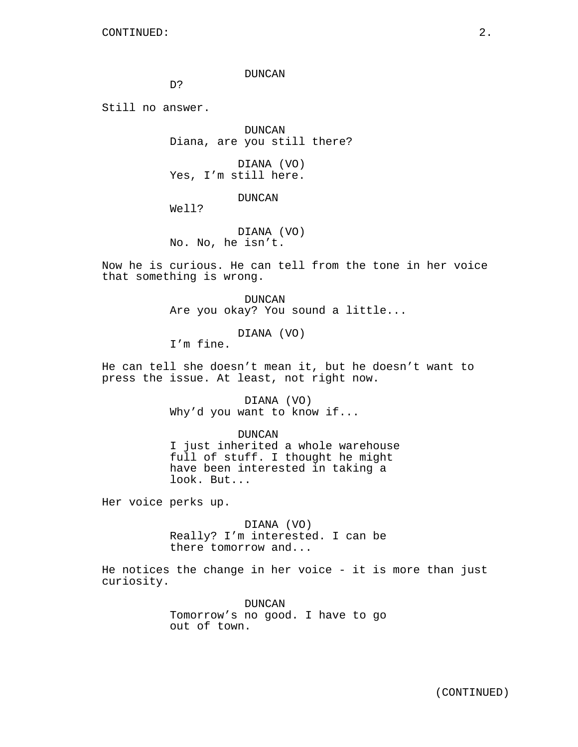DUNCAN

D?

Still no answer.

DUNCAN Diana, are you still there?

DIANA (VO) Yes, I'm still here.

DUNCAN

Well?

DIANA (VO) No. No, he isn't.

Now he is curious. He can tell from the tone in her voice that something is wrong.

> DUNCAN Are you okay? You sound a little...

> > DIANA (VO)

I'm fine.

He can tell she doesn't mean it, but he doesn't want to press the issue. At least, not right now.

> DIANA (VO) Why'd you want to know if...

> > DUNCAN

I just inherited a whole warehouse full of stuff. I thought he might have been interested in taking a look. But...

Her voice perks up.

DIANA (VO) Really? I'm interested. I can be there tomorrow and...

He notices the change in her voice - it is more than just curiosity.

> DUNCAN Tomorrow's no good. I have to go out of town.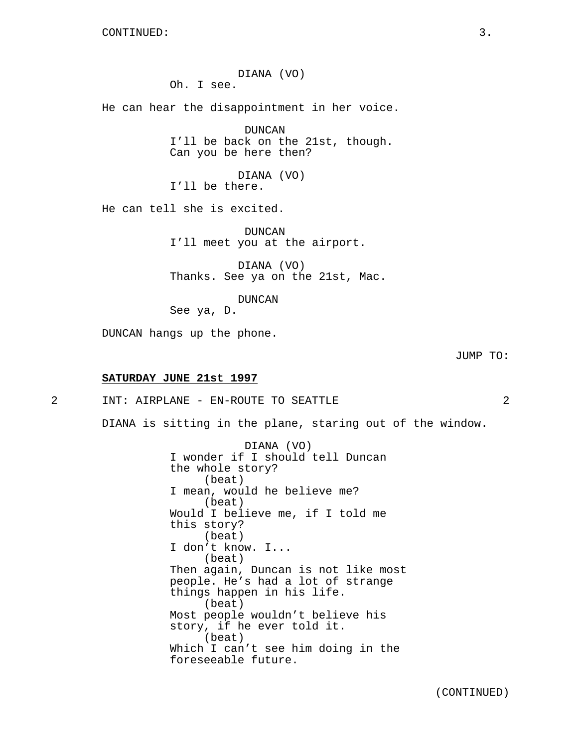DIANA (VO) Oh. I see.

He can hear the disappointment in her voice.

DUNCAN I'll be back on the 21st, though. Can you be here then?

DIANA (VO) I'll be there.

He can tell she is excited.

DUNCAN I'll meet you at the airport.

DIANA (VO) Thanks. See ya on the 21st, Mac.

DUNCAN

See ya, D.

DUNCAN hangs up the phone.

JUMP TO:

### **SATURDAY JUNE 21st 1997**

2 INT: AIRPLANE - EN-ROUTE TO SEATTLE 2

DIANA is sitting in the plane, staring out of the window.

DIANA (VO) I wonder if I should tell Duncan the whole story? (beat) I mean, would he believe me? (beat) Would I believe me, if I told me this story? (beat) I don't know. I... (beat) Then again, Duncan is not like most people. He's had a lot of strange things happen in his life. (beat) Most people wouldn't believe his story, if he ever told it. (beat) Which I can't see him doing in the foreseeable future.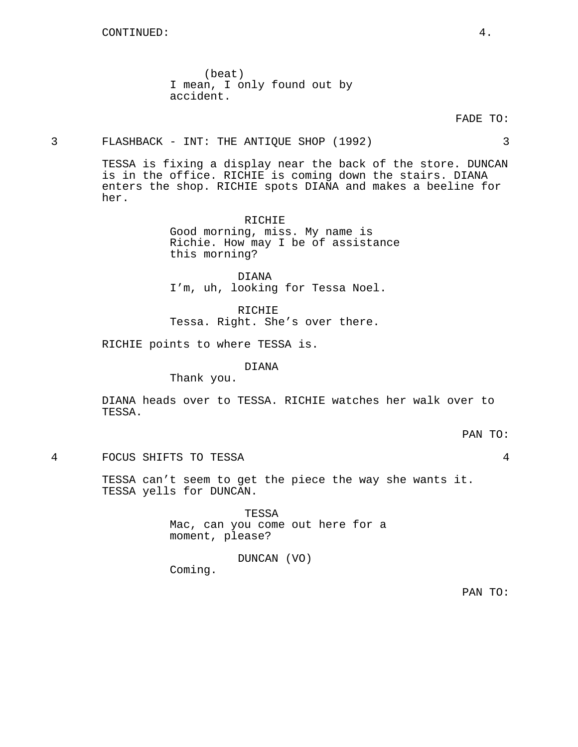(beat) I mean, I only found out by accident.

FADE TO:

## 3 FLASHBACK - INT: THE ANTIQUE SHOP (1992) 3

TESSA is fixing a display near the back of the store. DUNCAN is in the office. RICHIE is coming down the stairs. DIANA enters the shop. RICHIE spots DIANA and makes a beeline for her.

> RICHIE Good morning, miss. My name is Richie. How may I be of assistance this morning?

DIANA I'm, uh, looking for Tessa Noel.

RICHIE Tessa. Right. She's over there.

RICHIE points to where TESSA is.

DIANA

Thank you.

DIANA heads over to TESSA. RICHIE watches her walk over to TESSA.

PAN TO:

4 FOCUS SHIFTS TO TESSA 4

TESSA can't seem to get the piece the way she wants it. TESSA yells for DUNCAN.

> TESSA Mac, can you come out here for a moment, please?

> > DUNCAN (VO)

Coming.

PAN TO: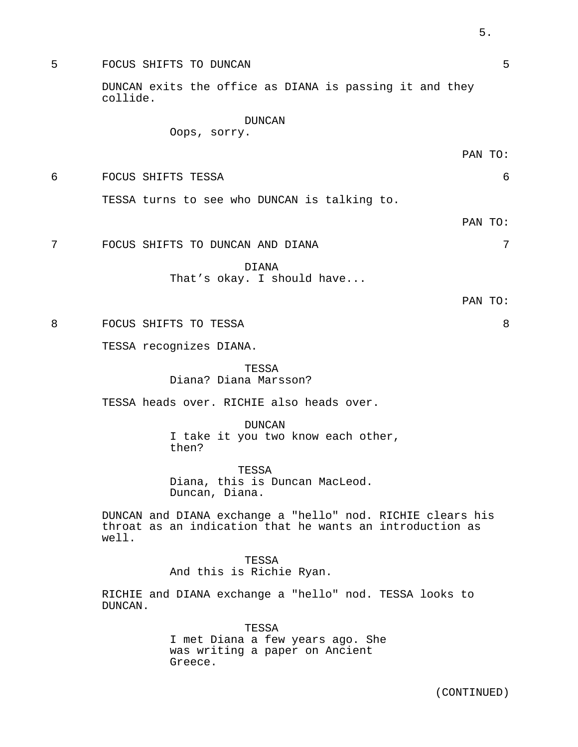5 FOCUS SHIFTS TO DUNCAN 5 DUNCAN exits the office as DIANA is passing it and they collide.

# DUNCAN

Oops, sorry.

PAN TO:

6 FOCUS SHIFTS TESSA 6

TESSA turns to see who DUNCAN is talking to.

PAN TO:

7 FOCUS SHIFTS TO DUNCAN AND DIANA 7

DIANA

That's okay. I should have...

PAN TO:

8 FOCUS SHIFTS TO TESSA 8

TESSA recognizes DIANA.

TESSA Diana? Diana Marsson?

TESSA heads over. RICHIE also heads over.

DUNCAN I take it you two know each other, then?

TESSA Diana, this is Duncan MacLeod. Duncan, Diana.

DUNCAN and DIANA exchange a "hello" nod. RICHIE clears his throat as an indication that he wants an introduction as well.

> TESSA And this is Richie Ryan.

RICHIE and DIANA exchange a "hello" nod. TESSA looks to DUNCAN.

> TESSA I met Diana a few years ago. She was writing a paper on Ancient Greece.

5.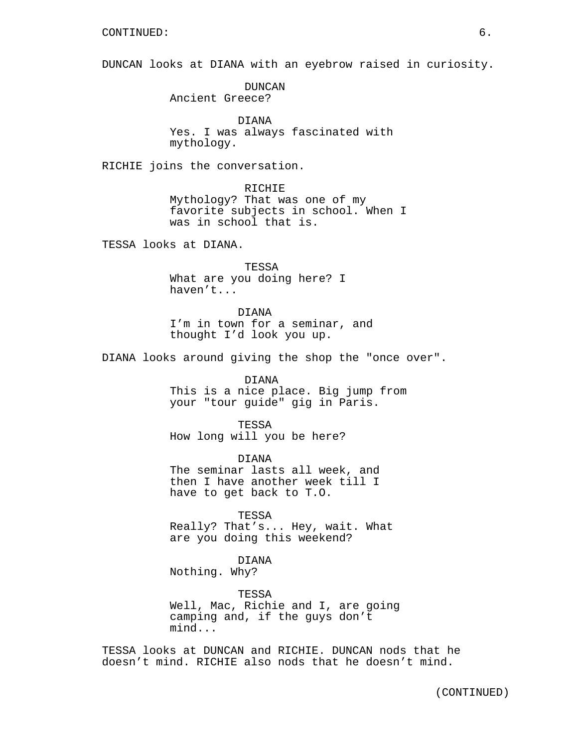DUNCAN looks at DIANA with an eyebrow raised in curiosity.

DUNCAN Ancient Greece?

DIANA Yes. I was always fascinated with mythology.

RICHIE joins the conversation.

RICHIE Mythology? That was one of my favorite subjects in school. When I was in school that is.

TESSA looks at DIANA.

TESSA What are you doing here? I haven't...

DIANA I'm in town for a seminar, and thought I'd look you up.

DIANA looks around giving the shop the "once over".

#### DIANA

This is a nice place. Big jump from your "tour guide" gig in Paris.

TESSA How long will you be here?

DIANA The seminar lasts all week, and then I have another week till I have to get back to T.O.

TESSA Really? That's... Hey, wait. What are you doing this weekend?

## DIANA

Nothing. Why?

TESSA

Well, Mac, Richie and I, are going camping and, if the guys don't mind...

TESSA looks at DUNCAN and RICHIE. DUNCAN nods that he doesn't mind. RICHIE also nods that he doesn't mind.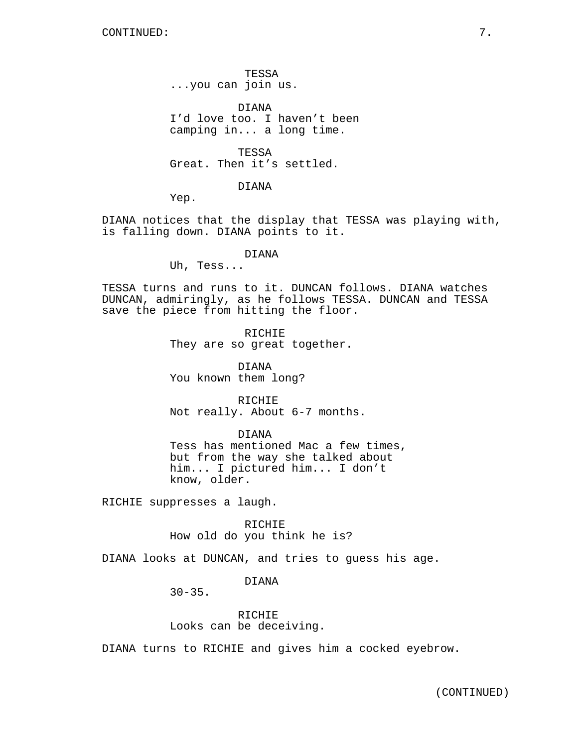TESSA ...you can join us.

DIANA I'd love too. I haven't been camping in... a long time.

**TESSA** Great. Then it's settled.

DIANA

Yep.

DIANA notices that the display that TESSA was playing with, is falling down. DIANA points to it.

### DIANA

Uh, Tess...

TESSA turns and runs to it. DUNCAN follows. DIANA watches DUNCAN, admiringly, as he follows TESSA. DUNCAN and TESSA save the piece from hitting the floor.

> RICHIE They are so great together.

DIANA You known them long?

RICHIE Not really. About 6-7 months.

DIANA

Tess has mentioned Mac a few times, but from the way she talked about him... I pictured him... I don't know, older.

RICHIE suppresses a laugh.

RICHIE How old do you think he is?

DIANA looks at DUNCAN, and tries to guess his age.

DIANA

 $30 - 35$ .

RICHIE Looks can be deceiving.

DIANA turns to RICHIE and gives him a cocked eyebrow.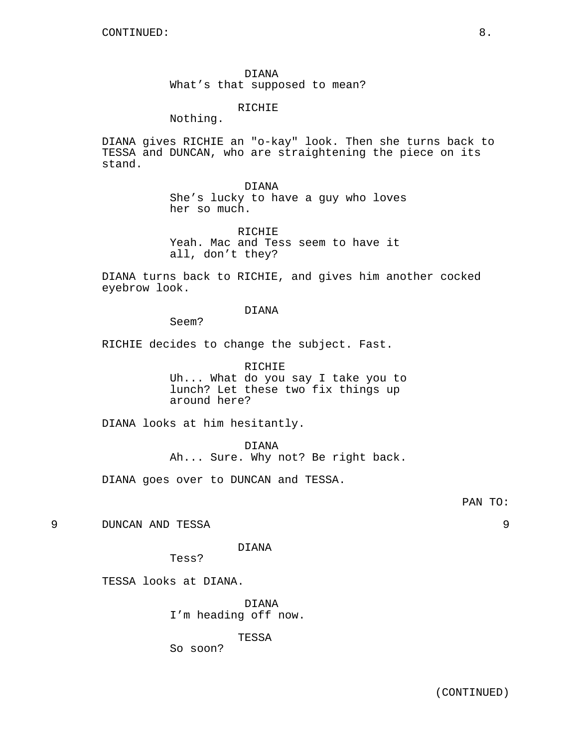DIANA What's that supposed to mean?

RICHIE

Nothing.

DIANA gives RICHIE an "o-kay" look. Then she turns back to TESSA and DUNCAN, who are straightening the piece on its stand.

> DIANA She's lucky to have a guy who loves her so much.

RICHIE Yeah. Mac and Tess seem to have it all, don't they?

DIANA turns back to RICHIE, and gives him another cocked eyebrow look.

DIANA

Seem?

RICHIE decides to change the subject. Fast.

RICHIE Uh... What do you say I take you to lunch? Let these two fix things up around here?

DIANA looks at him hesitantly.

DIANA

Ah... Sure. Why not? Be right back.

DIANA goes over to DUNCAN and TESSA.

PAN TO:

9 DUNCAN AND TESSA 9

DIANA

Tess?

TESSA looks at DIANA.

DIANA

I'm heading off now.

TESSA

So soon?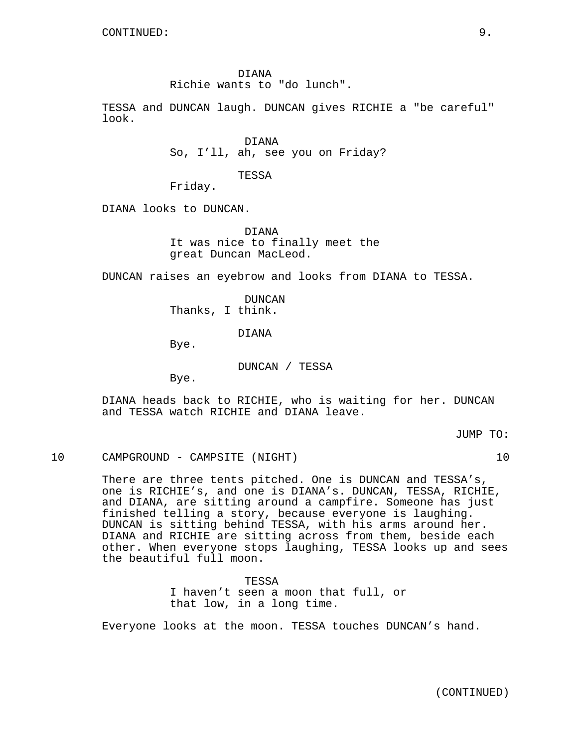DIANA

Richie wants to "do lunch".

TESSA and DUNCAN laugh. DUNCAN gives RICHIE a "be careful" look.

> DIANA So, I'll, ah, see you on Friday?

> > TESSA

Friday.

DIANA looks to DUNCAN.

DIANA It was nice to finally meet the great Duncan MacLeod.

DUNCAN raises an eyebrow and looks from DIANA to TESSA.

DUNCAN Thanks, I think.

DIANA

Bye.

DUNCAN / TESSA

Bye.

DIANA heads back to RICHIE, who is waiting for her. DUNCAN and TESSA watch RICHIE and DIANA leave.

JUMP TO:

# 10 CAMPGROUND - CAMPSITE (NIGHT) 10

There are three tents pitched. One is DUNCAN and TESSA's, one is RICHIE's, and one is DIANA's. DUNCAN, TESSA, RICHIE, and DIANA, are sitting around a campfire. Someone has just finished telling a story, because everyone is laughing. DUNCAN is sitting behind TESSA, with his arms around her. DIANA and RICHIE are sitting across from them, beside each other. When everyone stops laughing, TESSA looks up and sees the beautiful full moon.

> TESSA I haven't seen a moon that full, or that low, in a long time.

Everyone looks at the moon. TESSA touches DUNCAN's hand.

(CONTINUED)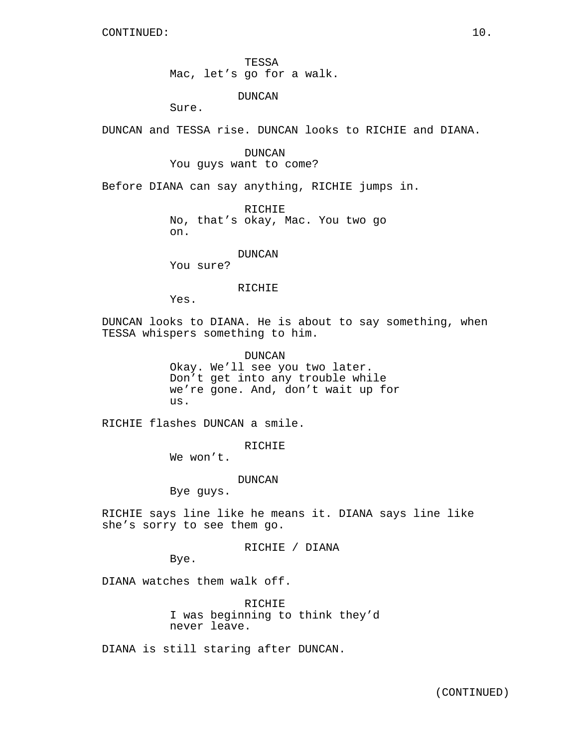TESSA Mac, let's go for a walk.

DUNCAN

Sure.

DUNCAN and TESSA rise. DUNCAN looks to RICHIE and DIANA.

DUNCAN You guys want to come?

Before DIANA can say anything, RICHIE jumps in.

**RICHIE** No, that's okay, Mac. You two go on.

DUNCAN

You sure?

### RICHIE

Yes.

DUNCAN looks to DIANA. He is about to say something, when TESSA whispers something to him.

> DUNCAN Okay. We'll see you two later. Don't get into any trouble while we're gone. And, don't wait up for us.

RICHIE flashes DUNCAN a smile.

RICHIE

We won't.

DUNCAN

Bye guys.

RICHIE says line like he means it. DIANA says line like she's sorry to see them go.

RICHIE / DIANA

Bye.

DIANA watches them walk off.

RICHIE I was beginning to think they'd never leave.

DIANA is still staring after DUNCAN.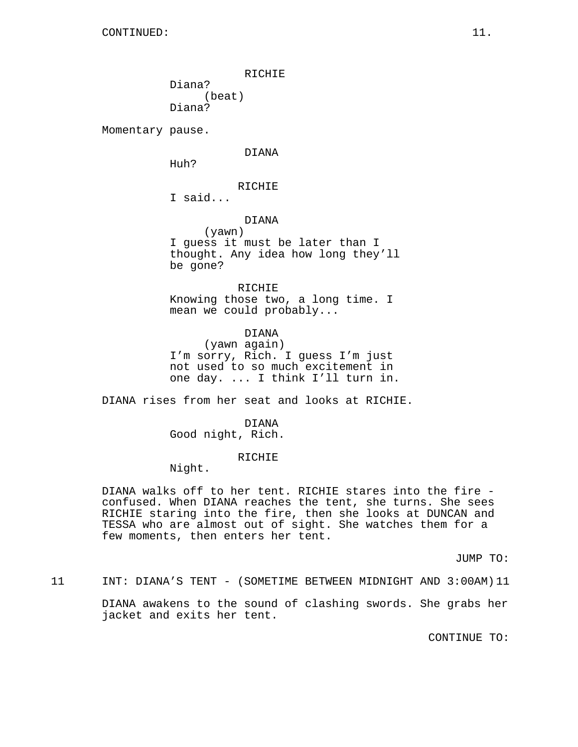RICHIE Diana? (beat) Diana?

Momentary pause.

DIANA

Huh?

# RICHIE

I said...

## DIANA

(yawn) I guess it must be later than I thought. Any idea how long they'll be gone?

RICHIE Knowing those two, a long time. I mean we could probably...

DIANA (yawn again) I'm sorry, Rich. I guess I'm just not used to so much excitement in one day. ... I think I'll turn in.

DIANA rises from her seat and looks at RICHIE.

DIANA Good night, Rich.

### RICHIE

Night.

DIANA walks off to her tent. RICHIE stares into the fire confused. When DIANA reaches the tent, she turns. She sees RICHIE staring into the fire, then she looks at DUNCAN and TESSA who are almost out of sight. She watches them for a few moments, then enters her tent.

JUMP TO:

11 INT: DIANA'S TENT - (SOMETIME BETWEEN MIDNIGHT AND 3:00AM) 11

DIANA awakens to the sound of clashing swords. She grabs her jacket and exits her tent.

CONTINUE TO: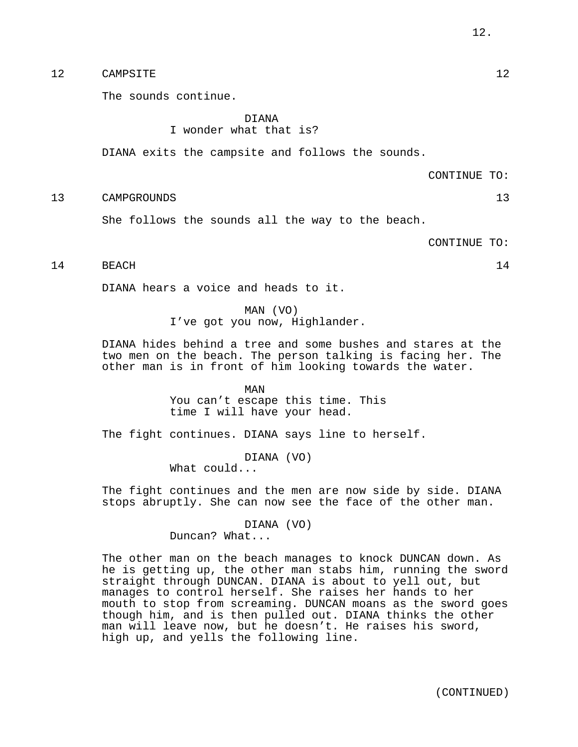## 12 CAMPSITE 12

The sounds continue.

### DIANA I wonder what that is?

DIANA exits the campsite and follows the sounds.

CONTINUE TO:

13 CAMPGROUNDS 13

She follows the sounds all the way to the beach.

CONTINUE TO:

# 14 BEACH 14

DIANA hears a voice and heads to it.

# MAN (VO)

I've got you now, Highlander.

DIANA hides behind a tree and some bushes and stares at the two men on the beach. The person talking is facing her. The other man is in front of him looking towards the water.

> MAN You can't escape this time. This time I will have your head.

The fight continues. DIANA says line to herself.

DIANA (VO) What could...

The fight continues and the men are now side by side. DIANA stops abruptly. She can now see the face of the other man.

> DIANA (VO) Duncan? What...

The other man on the beach manages to knock DUNCAN down. As he is getting up, the other man stabs him, running the sword straight through DUNCAN. DIANA is about to yell out, but manages to control herself. She raises her hands to her mouth to stop from screaming. DUNCAN moans as the sword goes though him, and is then pulled out. DIANA thinks the other man will leave now, but he doesn't. He raises his sword, high up, and yells the following line.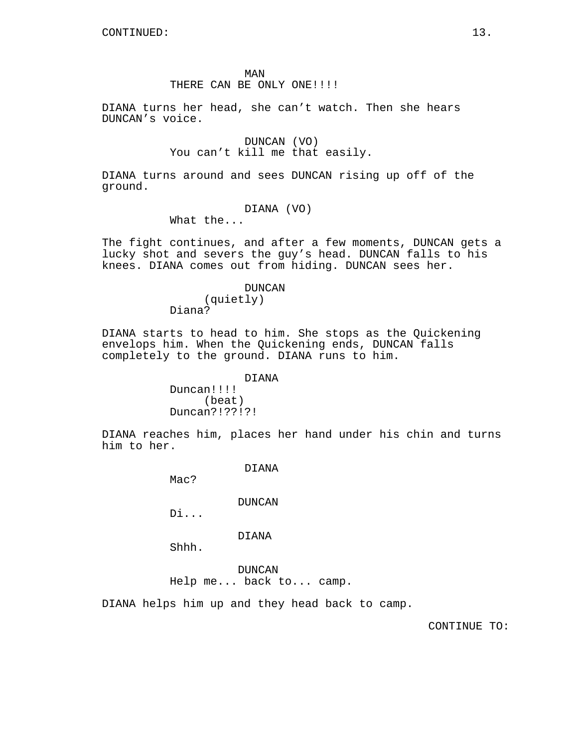### THERE CAN BE ONLY ONE!!!!!

DIANA turns her head, she can't watch. Then she hears DUNCAN's voice.

> DUNCAN (VO) You can't kill me that easily.

DIANA turns around and sees DUNCAN rising up off of the ground.

### DIANA (VO)

What the...

The fight continues, and after a few moments, DUNCAN gets a lucky shot and severs the guy's head. DUNCAN falls to his knees. DIANA comes out from hiding. DUNCAN sees her.

#### DUNCAN

(quietly) Diana?

DIANA starts to head to him. She stops as the Quickening envelops him. When the Quickening ends, DUNCAN falls completely to the ground. DIANA runs to him.

> DIANA Duncan!!!! (beat) Duncan?!??!?!

DIANA reaches him, places her hand under his chin and turns him to her.

DIANA

Mac?

DUNCAN

Di...

DIANA

Shhh.

DUNCAN Help me... back to... camp.

DIANA helps him up and they head back to camp.

CONTINUE TO: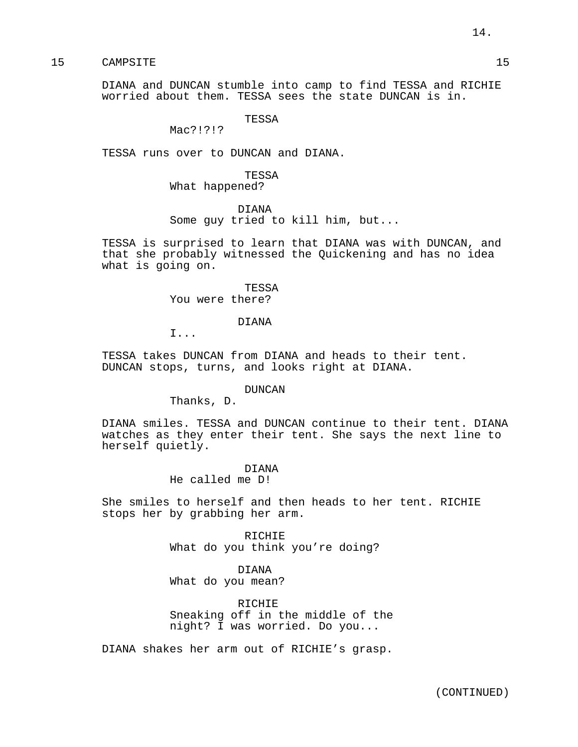15 CAMPSITE 25

DIANA and DUNCAN stumble into camp to find TESSA and RICHIE worried about them. TESSA sees the state DUNCAN is in.

TESSA

Mac?!?!?

TESSA runs over to DUNCAN and DIANA.

TESSA What happened?

DIANA Some guy tried to kill him, but...

TESSA is surprised to learn that DIANA was with DUNCAN, and that she probably witnessed the Quickening and has no idea what is going on.

> TESSA You were there?

> > DIANA

I...

TESSA takes DUNCAN from DIANA and heads to their tent. DUNCAN stops, turns, and looks right at DIANA.

DUNCAN

Thanks, D.

DIANA smiles. TESSA and DUNCAN continue to their tent. DIANA watches as they enter their tent. She says the next line to herself quietly.

> DIANA He called me D!

She smiles to herself and then heads to her tent. RICHIE stops her by grabbing her arm.

> RICHIE What do you think you're doing?

DIANA What do you mean?

RICHIE Sneaking off in the middle of the night? I was worried. Do you...

DIANA shakes her arm out of RICHIE's grasp.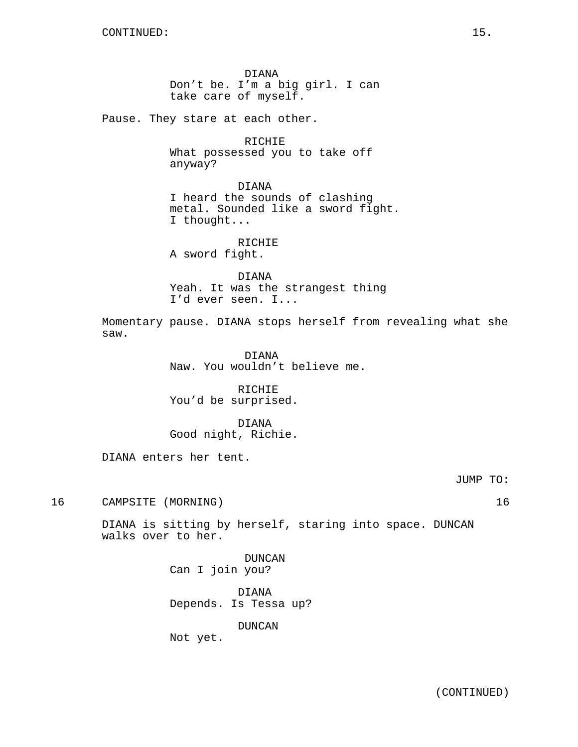DIANA Don't be. I'm a big girl. I can take care of myself.

Pause. They stare at each other.

RICHIE What possessed you to take off anyway?

DIANA

I heard the sounds of clashing metal. Sounded like a sword fight. I thought...

RICHIE

A sword fight.

DIANA Yeah. It was the strangest thing I'd ever seen. I...

Momentary pause. DIANA stops herself from revealing what she saw.

> DIANA Naw. You wouldn't believe me.

RICHIE You'd be surprised.

DIANA Good night, Richie.

DIANA enters her tent.

JUMP TO:

16 CAMPSITE (MORNING) 16

DIANA is sitting by herself, staring into space. DUNCAN walks over to her.

> DUNCAN Can I join you?

DIANA Depends. Is Tessa up?

DUNCAN

Not yet.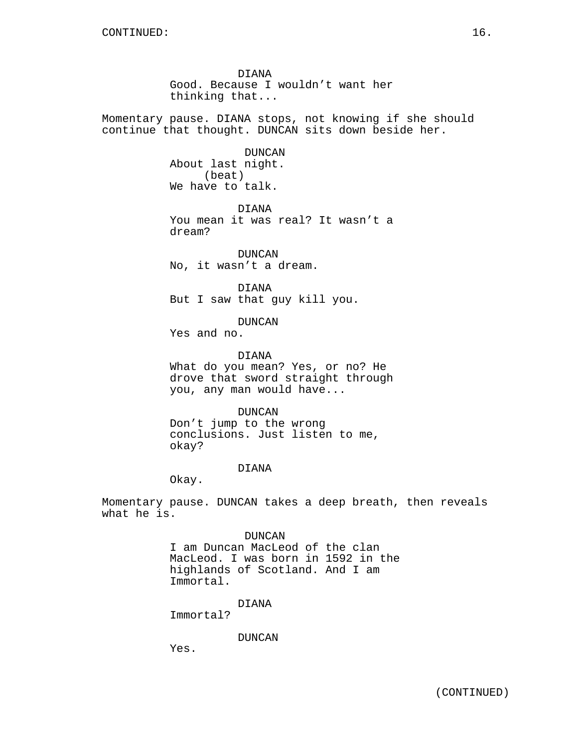DIANA Good. Because I wouldn't want her thinking that...

Momentary pause. DIANA stops, not knowing if she should continue that thought. DUNCAN sits down beside her.

> DUNCAN About last night. (beat) We have to talk.

DIANA You mean it was real? It wasn't a dream?

DUNCAN No, it wasn't a dream.

DIANA But I saw that guy kill you.

DUNCAN

Yes and no.

DIANA

What do you mean? Yes, or no? He drove that sword straight through you, any man would have...

DUNCAN Don't jump to the wrong conclusions. Just listen to me, okay?

### DIANA

Okay.

Momentary pause. DUNCAN takes a deep breath, then reveals what he is.

## DUNCAN

I am Duncan MacLeod of the clan MacLeod. I was born in 1592 in the highlands of Scotland. And I am Immortal.

DIANA

Immortal?

DUNCAN

Yes.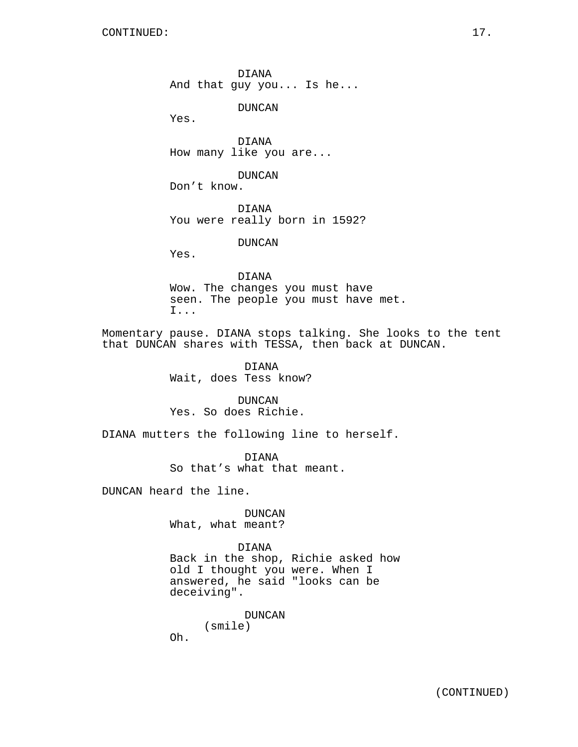DIANA And that guy you... Is he...

DUNCAN

Yes.

DIANA How many like you are...

DUNCAN Don't know.

DIANA You were really born in 1592?

DUNCAN

Yes.

DIANA Wow. The changes you must have seen. The people you must have met. I...

Momentary pause. DIANA stops talking. She looks to the tent that DUNCAN shares with TESSA, then back at DUNCAN.

> DIANA Wait, does Tess know?

DUNCAN Yes. So does Richie.

DIANA mutters the following line to herself.

DIANA So that's what that meant.

DUNCAN heard the line.

DUNCAN What, what meant?

DIANA

Back in the shop, Richie asked how old I thought you were. When I answered, he said "looks can be deceiving".

DUNCAN

(smile)

Oh.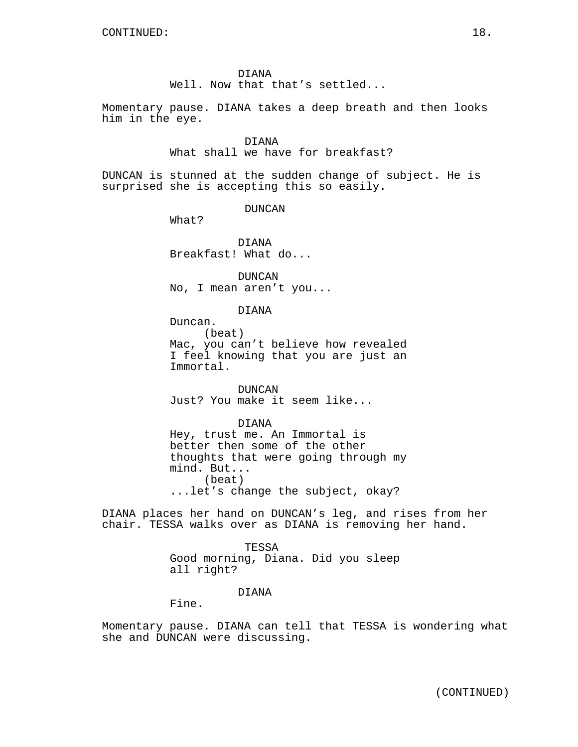### DIANA

Well. Now that that's settled...

Momentary pause. DIANA takes a deep breath and then looks him in the eye.

### DIANA

What shall we have for breakfast?

DUNCAN is stunned at the sudden change of subject. He is surprised she is accepting this so easily.

DUNCAN

What?

DIANA Breakfast! What do...

DUNCAN No, I mean aren't you...

#### DIANA

Duncan. (beat) Mac, you can't believe how revealed I feel knowing that you are just an Immortal.

DUNCAN Just? You make it seem like...

#### DIANA

Hey, trust me. An Immortal is better then some of the other thoughts that were going through my mind. But... (beat) ...let's change the subject, okay?

DIANA places her hand on DUNCAN's leg, and rises from her chair. TESSA walks over as DIANA is removing her hand.

> TESSA Good morning, Diana. Did you sleep all right?

## DIANA

Fine.

Momentary pause. DIANA can tell that TESSA is wondering what she and DUNCAN were discussing.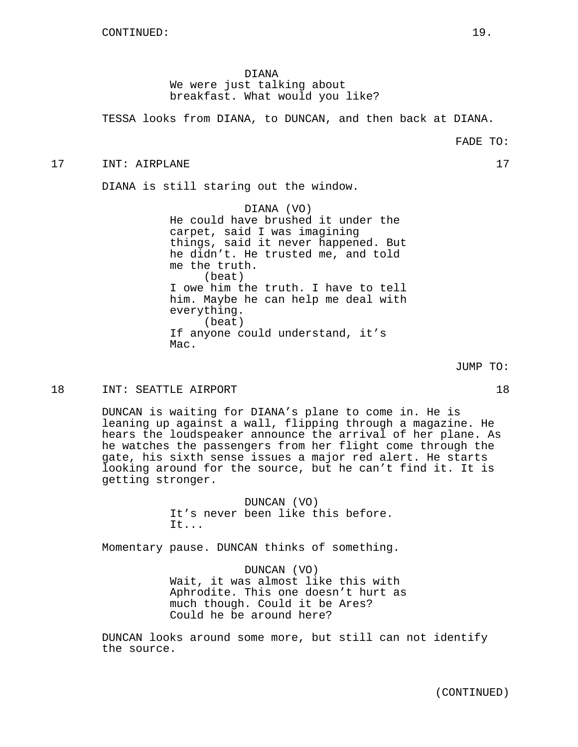DIANA We were just talking about breakfast. What would you like?

TESSA looks from DIANA, to DUNCAN, and then back at DIANA.

17 INT: AIRPLANE 17

DIANA is still staring out the window.

DIANA (VO) He could have brushed it under the carpet, said I was imagining things, said it never happened. But he didn't. He trusted me, and told me the truth. (beat) I owe him the truth. I have to tell him. Maybe he can help me deal with everything. (beat) If anyone could understand, it's Mac.

18 INT: SEATTLE AIRPORT 18

DUNCAN is waiting for DIANA's plane to come in. He is leaning up against a wall, flipping through a magazine. He hears the loudspeaker announce the arrival of her plane. As he watches the passengers from her flight come through the gate, his sixth sense issues a major red alert. He starts looking around for the source, but he can't find it. It is getting stronger.

> DUNCAN (VO) It's never been like this before. It...

Momentary pause. DUNCAN thinks of something.

DUNCAN (VO) Wait, it was almost like this with Aphrodite. This one doesn't hurt as much though. Could it be Ares? Could he be around here?

DUNCAN looks around some more, but still can not identify the source.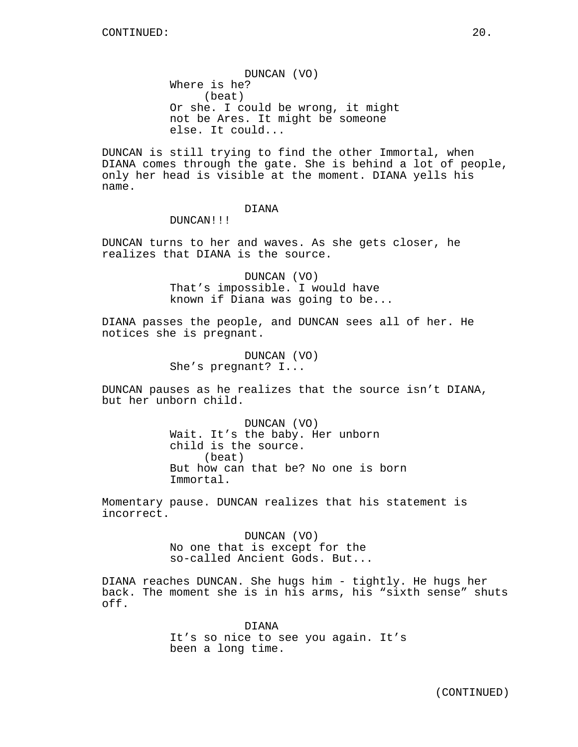DUNCAN (VO) Where is he? (beat) Or she. I could be wrong, it might not be Ares. It might be someone else. It could...

DUNCAN is still trying to find the other Immortal, when DIANA comes through the gate. She is behind a lot of people, only her head is visible at the moment. DIANA yells his name.

## DIANA

DUNCAN!!!

DUNCAN turns to her and waves. As she gets closer, he realizes that DIANA is the source.

> DUNCAN (VO) That's impossible. I would have known if Diana was going to be...

DIANA passes the people, and DUNCAN sees all of her. He notices she is pregnant.

> DUNCAN (VO) She's pregnant? I...

DUNCAN pauses as he realizes that the source isn't DIANA, but her unborn child.

> DUNCAN (VO) Wait. It's the baby. Her unborn child is the source. (beat) But how can that be? No one is born Immortal.

Momentary pause. DUNCAN realizes that his statement is incorrect.

> DUNCAN (VO) No one that is except for the so-called Ancient Gods. But...

DIANA reaches DUNCAN. She hugs him - tightly. He hugs her back. The moment she is in his arms, his "sixth sense" shuts off.

> DIANA It's so nice to see you again. It's been a long time.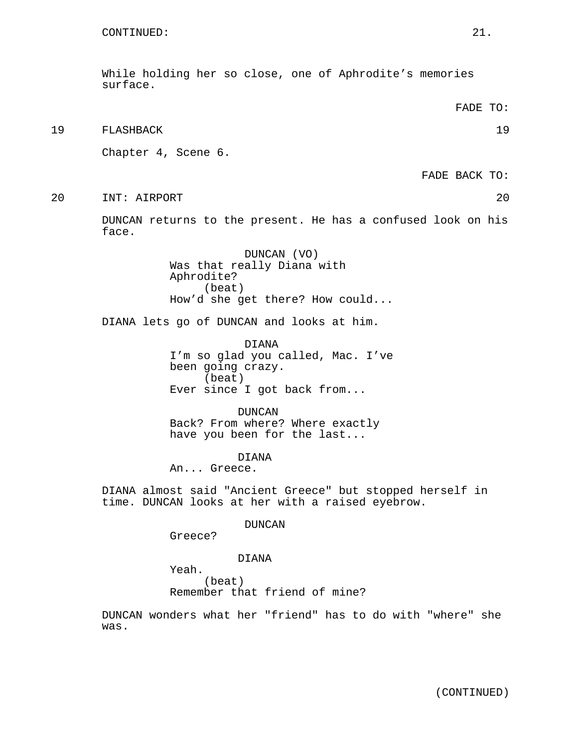While holding her so close, one of Aphrodite's memories surface.

19 FLASHBACK 19

Chapter 4, Scene 6.

FADE BACK TO:

20 INT: AIRPORT 20

DUNCAN returns to the present. He has a confused look on his face.

> DUNCAN (VO) Was that really Diana with Aphrodite? (beat) How'd she get there? How could...

DIANA lets go of DUNCAN and looks at him.

DIANA I'm so glad you called, Mac. I've been going crazy. (beat) Ever since I got back from...

DUNCAN Back? From where? Where exactly have you been for the last...

DIANA

An... Greece.

DIANA almost said "Ancient Greece" but stopped herself in time. DUNCAN looks at her with a raised eyebrow.

DUNCAN

Greece?

DIANA

Yeah.

(beat) Remember that friend of mine?

DUNCAN wonders what her "friend" has to do with "where" she was.

FADE TO: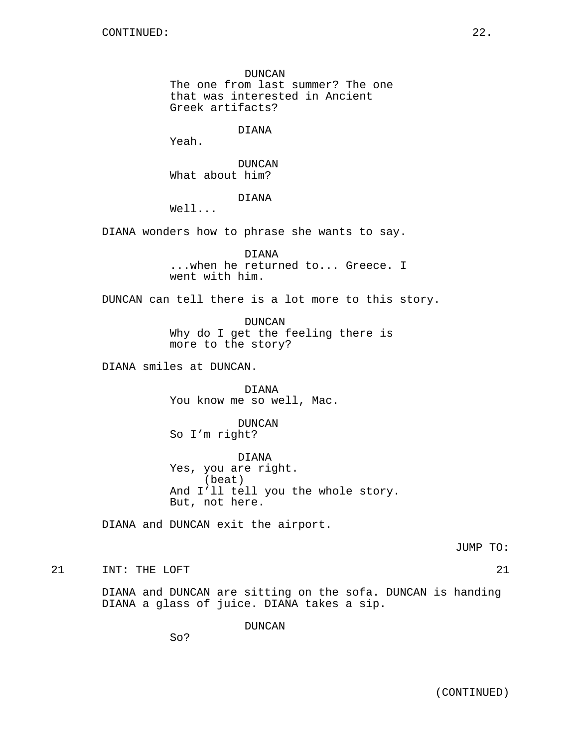DUNCAN The one from last summer? The one that was interested in Ancient Greek artifacts?

DIANA

Yeah.

DUNCAN What about him?

DIANA

Well...

DIANA wonders how to phrase she wants to say.

DIANA ...when he returned to... Greece. I went with him.

DUNCAN can tell there is a lot more to this story.

DUNCAN Why do I get the feeling there is more to the story?

DIANA smiles at DUNCAN.

DIANA You know me so well, Mac.

DUNCAN So I'm right?

DIANA Yes, you are right. (beat) And I'll tell you the whole story. But, not here.

DIANA and DUNCAN exit the airport.

JUMP TO:

21 INT: THE LOFT 21 22

DIANA and DUNCAN are sitting on the sofa. DUNCAN is handing DIANA a glass of juice. DIANA takes a sip.

DUNCAN

So?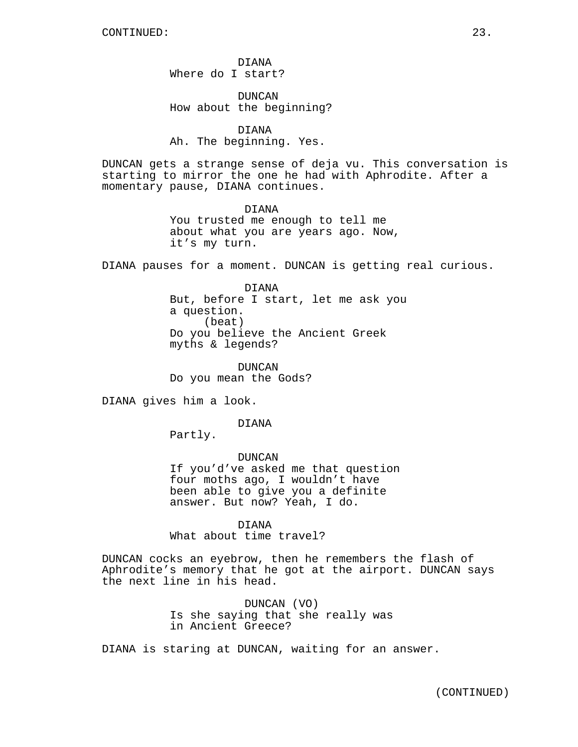DIANA Where do I start?

DUNCAN How about the beginning?

DIANA Ah. The beginning. Yes.

DUNCAN gets a strange sense of deja vu. This conversation is starting to mirror the one he had with Aphrodite. After a momentary pause, DIANA continues.

> DIANA You trusted me enough to tell me about what you are years ago. Now, it's my turn.

DIANA pauses for a moment. DUNCAN is getting real curious.

DIANA But, before I start, let me ask you a question. (beat) Do you believe the Ancient Greek myths & legends?

DUNCAN Do you mean the Gods?

DIANA gives him a look.

DIANA

Partly.

DUNCAN If you'd've asked me that question four moths ago, I wouldn't have been able to give you a definite answer. But now? Yeah, I do.

DIANA What about time travel?

DUNCAN cocks an eyebrow, then he remembers the flash of Aphrodite's memory that he got at the airport. DUNCAN says the next line in his head.

> DUNCAN (VO) Is she saying that she really was in Ancient Greece?

DIANA is staring at DUNCAN, waiting for an answer.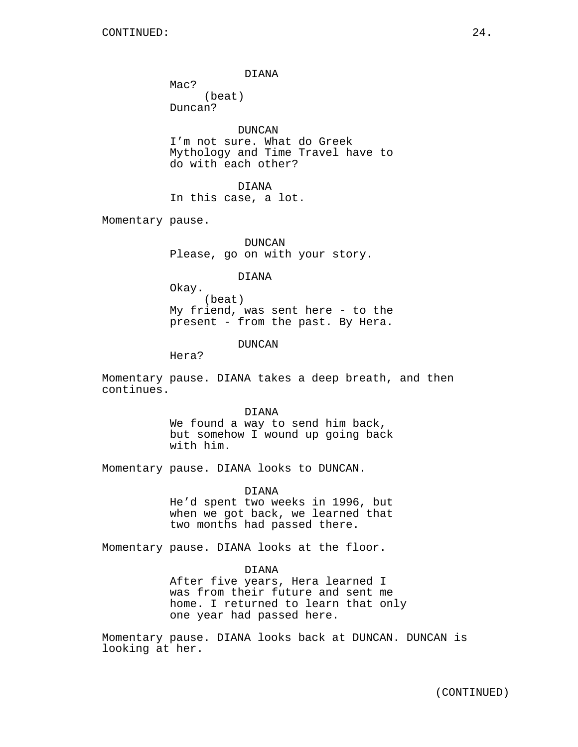DIANA

Mac? (beat) Duncan?

DUNCAN I'm not sure. What do Greek Mythology and Time Travel have to do with each other?

DIANA In this case, a lot.

Momentary pause.

DUNCAN Please, go on with your story.

DIANA

Okay. (beat) My friend, was sent here - to the present - from the past. By Hera.

DUNCAN

Hera?

Momentary pause. DIANA takes a deep breath, and then continues.

> DIANA We found a way to send him back, but somehow I wound up going back with him.

Momentary pause. DIANA looks to DUNCAN.

DIANA

He'd spent two weeks in 1996, but when we got back, we learned that two months had passed there.

Momentary pause. DIANA looks at the floor.

DIANA

After five years, Hera learned I was from their future and sent me home. I returned to learn that only one year had passed here.

Momentary pause. DIANA looks back at DUNCAN. DUNCAN is looking at her.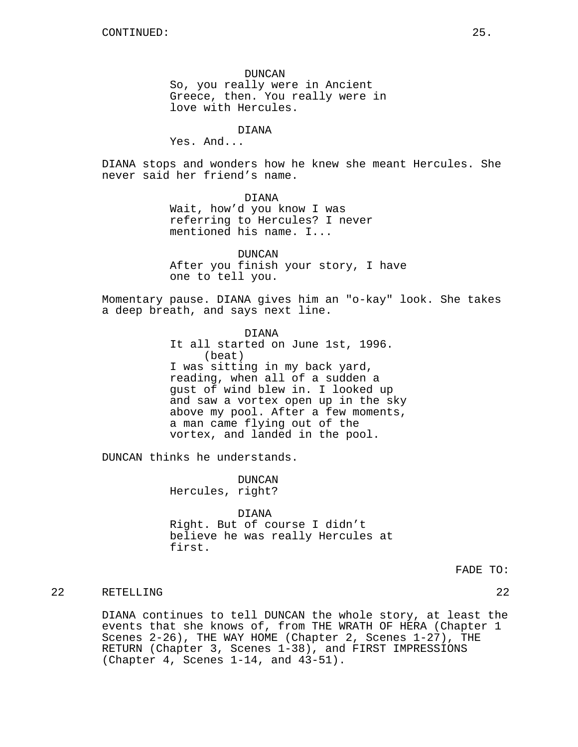DUNCAN So, you really were in Ancient Greece, then. You really were in love with Hercules.

## DIANA

Yes. And...

DIANA stops and wonders how he knew she meant Hercules. She never said her friend's name.

> DIANA Wait, how'd you know I was referring to Hercules? I never mentioned his name. I...

DUNCAN After you finish your story, I have one to tell you.

Momentary pause. DIANA gives him an "o-kay" look. She takes a deep breath, and says next line.

> DIANA It all started on June 1st, 1996. (beat) I was sitting in my back yard, reading, when all of a sudden a gust of wind blew in. I looked up and saw a vortex open up in the sky above my pool. After a few moments, a man came flying out of the vortex, and landed in the pool.

DUNCAN thinks he understands.

DUNCAN Hercules, right?

DIANA Right. But of course I didn't believe he was really Hercules at first.

FADE TO:

### 22 RETELLING 22

DIANA continues to tell DUNCAN the whole story, at least the events that she knows of, from THE WRATH OF HERA (Chapter 1 Scenes 2-26), THE WAY HOME (Chapter 2, Scenes 1-27), THE RETURN (Chapter 3, Scenes 1-38), and FIRST IMPRESSIONS (Chapter 4, Scenes 1-14, and 43-51).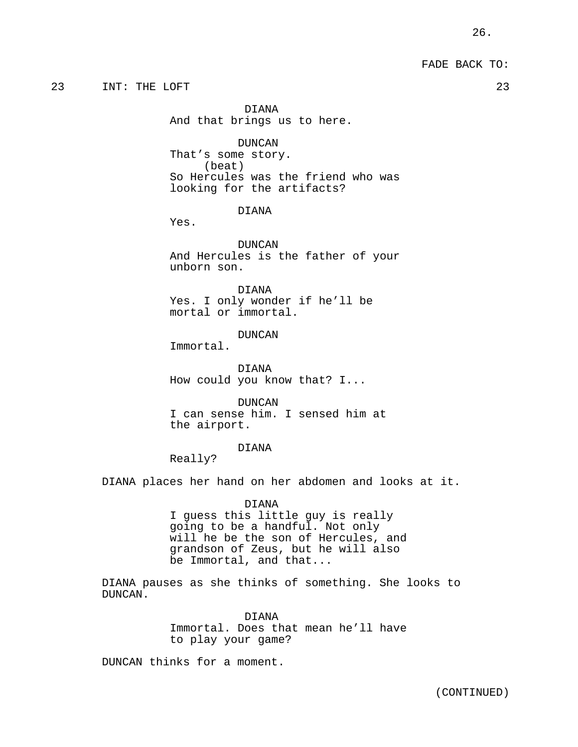FADE BACK TO:

23 INT: THE LOFT 23

DIANA And that brings us to here.

DUNCAN

That's some story. (beat) So Hercules was the friend who was looking for the artifacts?

DIANA

Yes.

DUNCAN And Hercules is the father of your unborn son.

DIANA Yes. I only wonder if he'll be mortal or immortal.

DUNCAN

Immortal.

DIANA How could you know that? I...

DUNCAN I can sense him. I sensed him at the airport.

#### DIANA

Really?

DIANA places her hand on her abdomen and looks at it.

### DIANA

I guess this little guy is really going to be a handful. Not only will he be the son of Hercules, and grandson of Zeus, but he will also be Immortal, and that...

DIANA pauses as she thinks of something. She looks to DUNCAN.

DIANA

Immortal. Does that mean he'll have to play your game?

DUNCAN thinks for a moment.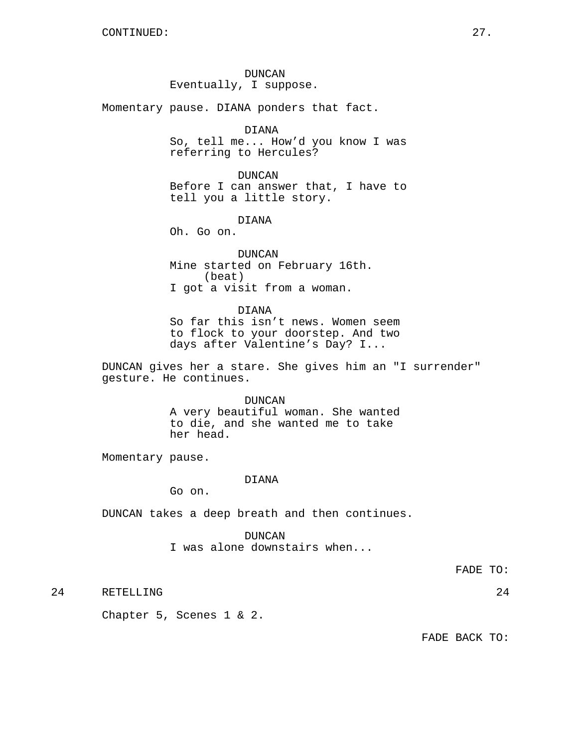DUNCAN Eventually, I suppose.

Momentary pause. DIANA ponders that fact.

## DIANA

So, tell me... How'd you know I was referring to Hercules?

### DUNCAN

Before I can answer that, I have to tell you a little story.

### DIANA

Oh. Go on.

DUNCAN Mine started on February 16th. (beat) I got a visit from a woman.

### DIANA

So far this isn't news. Women seem to flock to your doorstep. And two days after Valentine's Day? I...

DUNCAN gives her a stare. She gives him an "I surrender" gesture. He continues.

## DUNCAN

A very beautiful woman. She wanted to die, and she wanted me to take her head.

Momentary pause.

#### DIANA

Go on.

DUNCAN takes a deep breath and then continues.

### DUNCAN

I was alone downstairs when...

FADE TO:

24 RETELLING 24

Chapter 5, Scenes 1 & 2.

FADE BACK TO: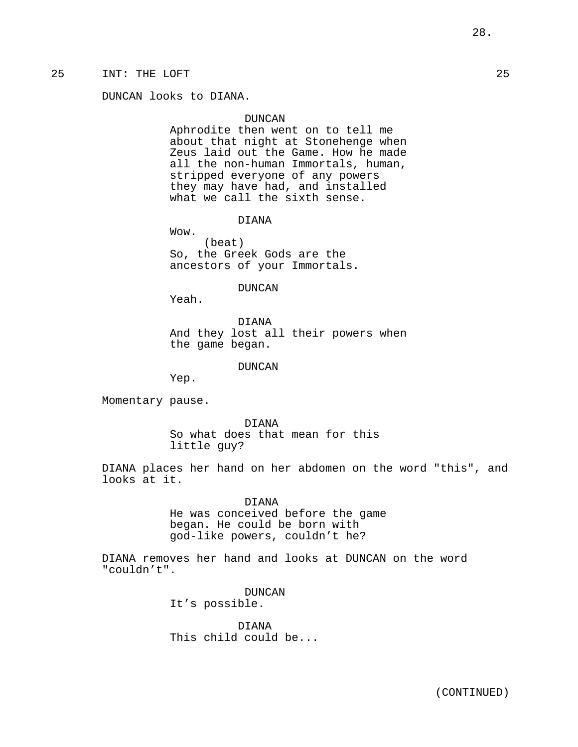## 25 INT: THE LOFT 25

DUNCAN looks to DIANA.

#### DUNCAN

Aphrodite then went on to tell me about that night at Stonehenge when Zeus laid out the Game. How he made all the non-human Immortals, human, stripped everyone of any powers they may have had, and installed what we call the sixth sense.

DIANA

Wow. (beat) So, the Greek Gods are the ancestors of your Immortals.

#### DUNCAN

Yeah.

DIANA And they lost all their powers when the game began.

#### DUNCAN

Yep.

Momentary pause.

DIANA So what does that mean for this little guy?

DIANA places her hand on her abdomen on the word "this", and looks at it.

> DIANA He was conceived before the game began. He could be born with god-like powers, couldn't he?

DIANA removes her hand and looks at DUNCAN on the word "couldn't".

> DUNCAN It's possible.

DIANA This child could be...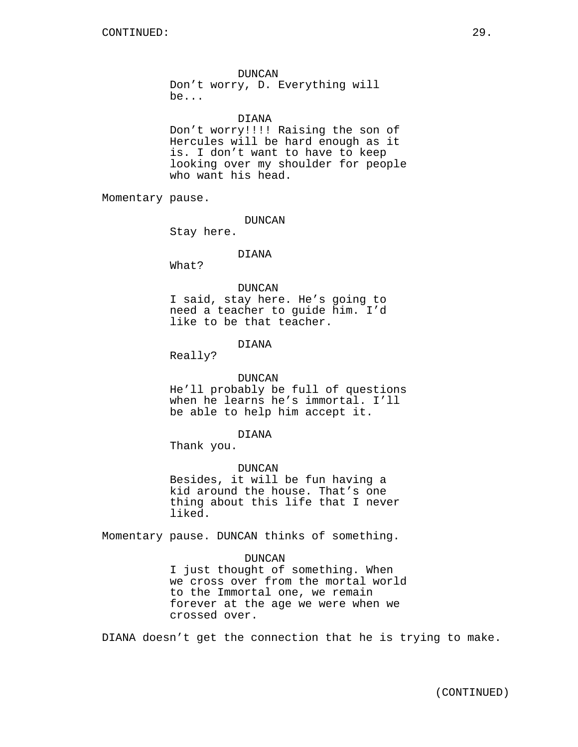#### DUNCAN

Don't worry, D. Everything will be...

### DIANA

Don't worry!!!! Raising the son of Hercules will be hard enough as it is. I don't want to have to keep looking over my shoulder for people who want his head.

Momentary pause.

DUNCAN

Stay here.

### DIANA

What?

### DUNCAN

I said, stay here. He's going to need a teacher to guide him. I'd like to be that teacher.

## DIANA

Really?

#### DUNCAN

He'll probably be full of questions when he learns he's immortal. I'll be able to help him accept it.

#### DIANA

Thank you.

#### DUNCAN

Besides, it will be fun having a kid around the house. That's one thing about this life that I never liked.

Momentary pause. DUNCAN thinks of something.

#### DUNCAN

I just thought of something. When we cross over from the mortal world to the Immortal one, we remain forever at the age we were when we crossed over.

DIANA doesn't get the connection that he is trying to make.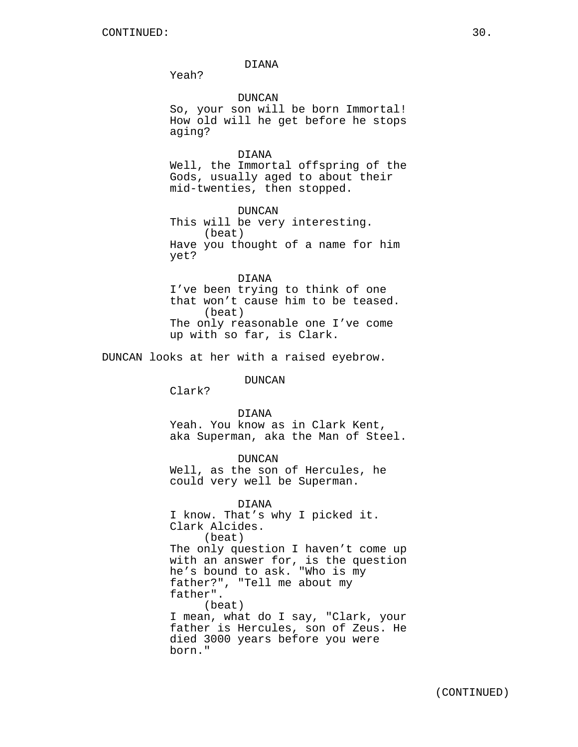DIANA

Yeah?

DUNCAN

So, your son will be born Immortal! How old will he get before he stops aging?

### DIANA

Well, the Immortal offspring of the Gods, usually aged to about their mid-twenties, then stopped.

DUNCAN This will be very interesting. (beat) Have you thought of a name for him yet?

DIANA I've been trying to think of one that won't cause him to be teased. (beat) The only reasonable one I've come up with so far, is Clark.

DUNCAN looks at her with a raised eyebrow.

DUNCAN

Clark?

#### DIANA

Yeah. You know as in Clark Kent, aka Superman, aka the Man of Steel.

DUNCAN Well, as the son of Hercules, he could very well be Superman.

DIANA I know. That's why I picked it. Clark Alcides. (beat) The only question I haven't come up with an answer for, is the question he's bound to ask. "Who is my father?", "Tell me about my father". (beat) I mean, what do I say, "Clark, your father is Hercules, son of Zeus. He died 3000 years before you were born."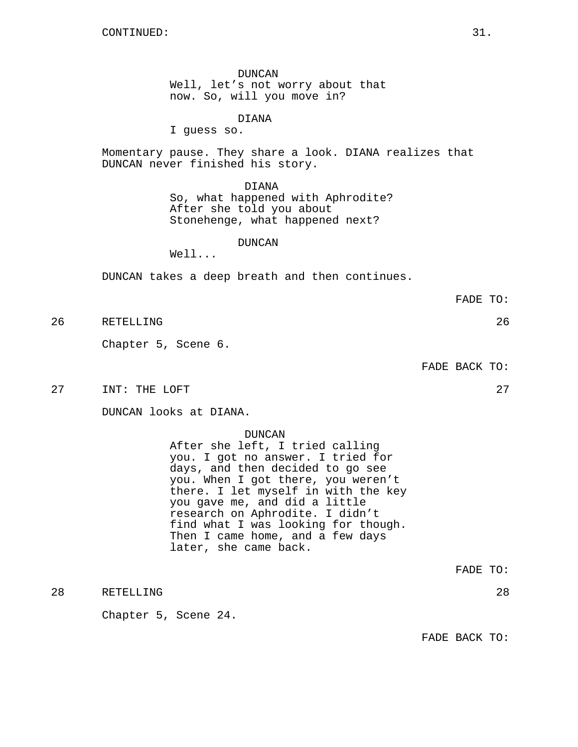DUNCAN Well, let's not worry about that now. So, will you move in?

DIANA

I guess so.

Momentary pause. They share a look. DIANA realizes that DUNCAN never finished his story.

DIANA

So, what happened with Aphrodite? After she told you about Stonehenge, what happened next?

### DUNCAN

Well...

DUNCAN takes a deep breath and then continues.

FADE TO:

26 RETELLING 26

Chapter 5, Scene 6.

FADE BACK TO:

27 INT: THE LOFT 27 27

DUNCAN looks at DIANA.

DUNCAN

After she left, I tried calling you. I got no answer. I tried for days, and then decided to go see you. When I got there, you weren't there. I let myself in with the key you gave me, and did a little research on Aphrodite. I didn't find what I was looking for though. Then I came home, and a few days later, she came back.

FADE TO:

28 RETELLING 28

Chapter 5, Scene 24.

FADE BACK TO:

- 
- -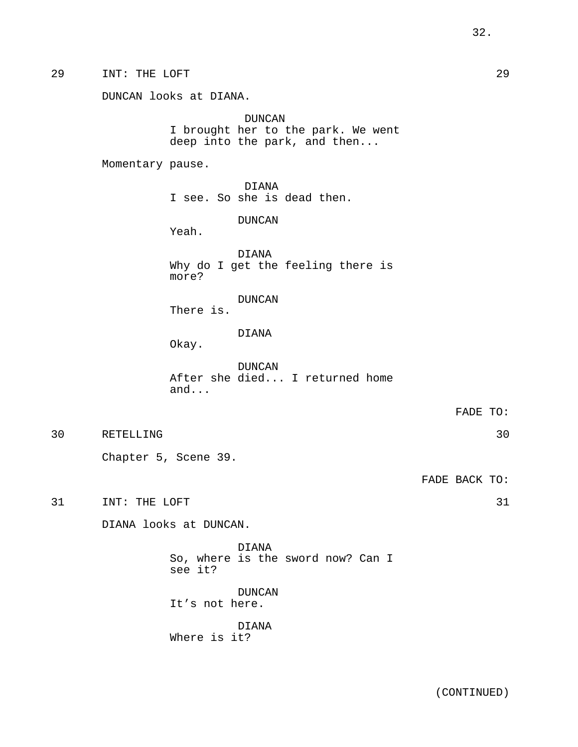29 INT: THE LOFT 29

DUNCAN I brought her to the park. We went deep into the park, and then...

Momentary pause.

DIANA I see. So she is dead then.

DUNCAN

Yeah.

DIANA Why do I get the feeling there is more?

DUNCAN

There is.

DIANA

Okay.

DUNCAN After she died... I returned home and...

FADE TO:

30 RETELLING 30

Chapter 5, Scene 39.

FADE BACK TO:

31 INT: THE LOFT 31

DIANA looks at DUNCAN.

DIANA So, where is the sword now? Can I see it?

DUNCAN It's not here.

DIANA Where is it?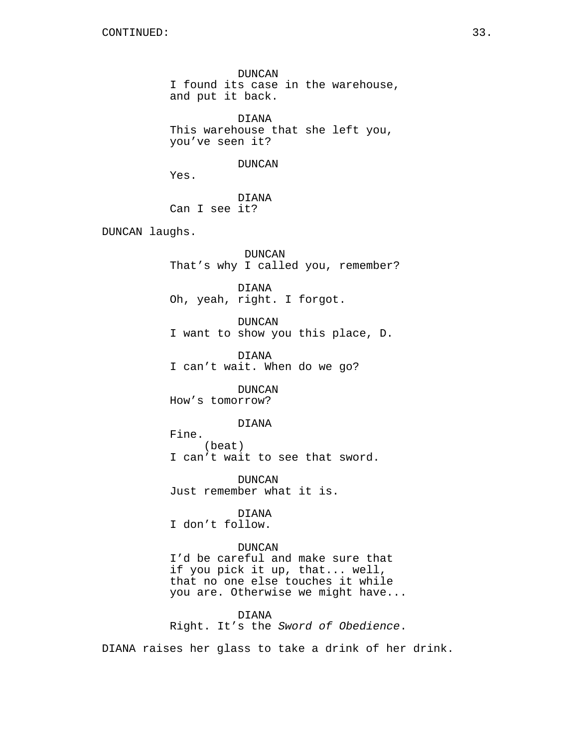DUNCAN I found its case in the warehouse, and put it back.

DIANA This warehouse that she left you, you've seen it?

DUNCAN

Yes.

DIANA Can I see it?

DUNCAN laughs.

DUNCAN That's why I called you, remember?

DIANA Oh, yeah, right. I forgot.

DUNCAN I want to show you this place, D.

DIANA I can't wait. When do we go?

DUNCAN How's tomorrow?

#### DIANA

Fine. (beat) I can't wait to see that sword.

DUNCAN Just remember what it is.

DIANA I don't follow.

DUNCAN I'd be careful and make sure that if you pick it up, that... well, that no one else touches it while you are. Otherwise we might have...

DIANA Right. It's the Sword of Obedience.

DIANA raises her glass to take a drink of her drink.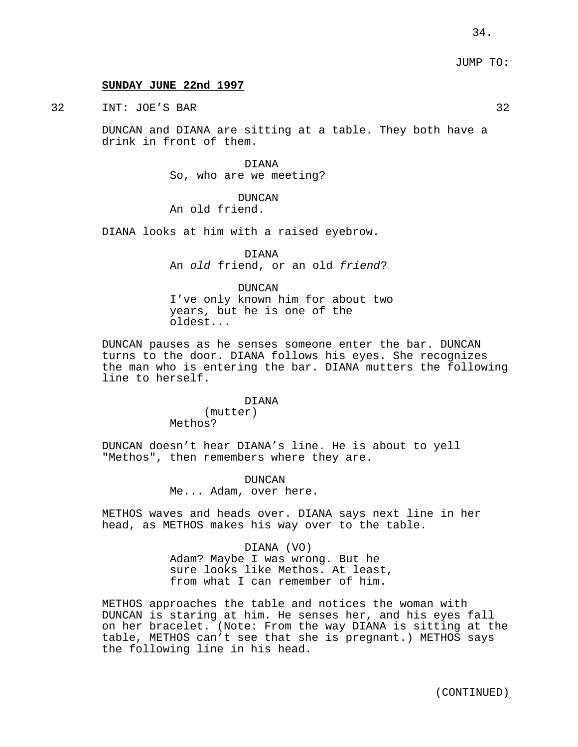### **SUNDAY JUNE 22nd 1997**

32 INT: JOE'S BAR 32

DUNCAN and DIANA are sitting at a table. They both have a drink in front of them.

> DIANA So, who are we meeting?

DUNCAN An old friend.

DIANA looks at him with a raised eyebrow.

DIANA An old friend, or an old friend?

DUNCAN I've only known him for about two years, but he is one of the oldest...

DUNCAN pauses as he senses someone enter the bar. DUNCAN turns to the door. DIANA follows his eyes. She recognizes the man who is entering the bar. DIANA mutters the following line to herself.

DIANA

(mutter) Methos?

DUNCAN doesn't hear DIANA's line. He is about to yell "Methos", then remembers where they are.

> DUNCAN Me... Adam, over here.

METHOS waves and heads over. DIANA says next line in her head, as METHOS makes his way over to the table.

> DIANA (VO) Adam? Maybe I was wrong. But he sure looks like Methos. At least, from what I can remember of him.

METHOS approaches the table and notices the woman with DUNCAN is staring at him. He senses her, and his eyes fall on her bracelet. (Note: From the way DIANA is sitting at the table, METHOS can't see that she is pregnant.) METHOS says the following line in his head.

(CONTINUED)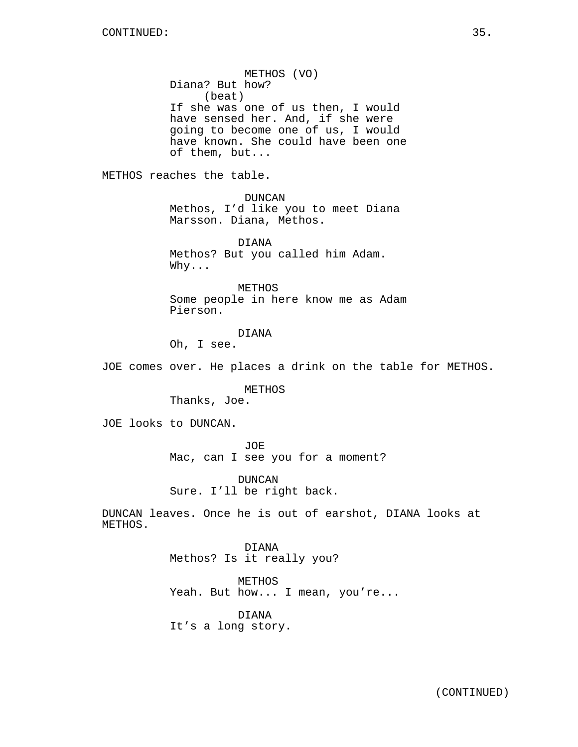METHOS (VO) Diana? But how? (beat) If she was one of us then, I would have sensed her. And, if she were going to become one of us, I would have known. She could have been one of them, but...

METHOS reaches the table.

DUNCAN Methos, I'd like you to meet Diana Marsson. Diana, Methos.

DIANA Methos? But you called him Adam. Why...

METHOS Some people in here know me as Adam Pierson.

DIANA

Oh, I see.

JOE comes over. He places a drink on the table for METHOS.

METHOS

Thanks, Joe.

JOE looks to DUNCAN.

JOE

Mac, can I see you for a moment?

DUNCAN Sure. I'll be right back.

DUNCAN leaves. Once he is out of earshot, DIANA looks at METHOS.

> DIANA Methos? Is it really you?

METHOS Yeah. But how... I mean, you're...

DIANA It's a long story.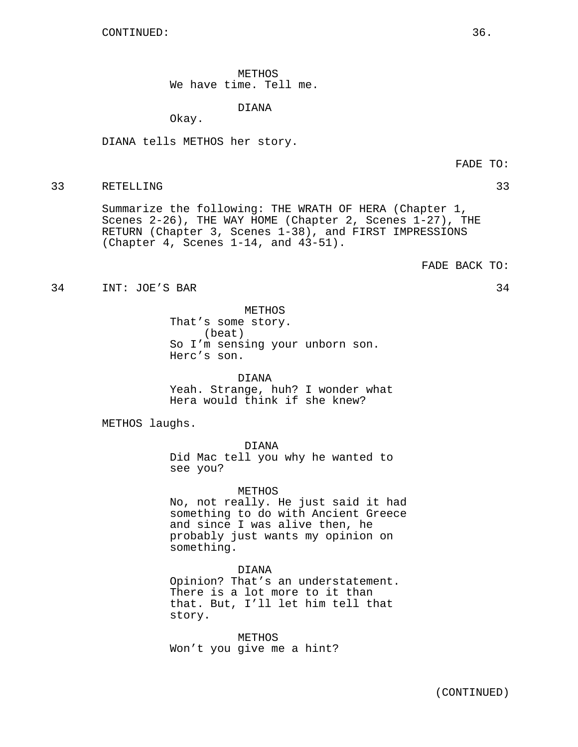METHOS We have time. Tell me.

DIANA

Okay.

DIANA tells METHOS her story.

#### 33 RETELLING 33

Summarize the following: THE WRATH OF HERA (Chapter 1, Scenes 2-26), THE WAY HOME (Chapter 2, Scenes 1-27), THE RETURN (Chapter 3, Scenes 1-38), and FIRST IMPRESSIONS (Chapter 4, Scenes 1-14, and 43-51).

FADE BACK TO:

34 INT: JOE'S BAR 34

METHOS That's some story. (beat) So I'm sensing your unborn son. Herc's son.

DIANA Yeah. Strange, huh? I wonder what Hera would think if she knew?

METHOS laughs.

DIANA

Did Mac tell you why he wanted to see you?

METHOS

No, not really. He just said it had something to do with Ancient Greece and since I was alive then, he probably just wants my opinion on something.

DIANA

Opinion? That's an understatement. There is a lot more to it than that. But, I'll let him tell that story.

METHOS Won't you give me a hint?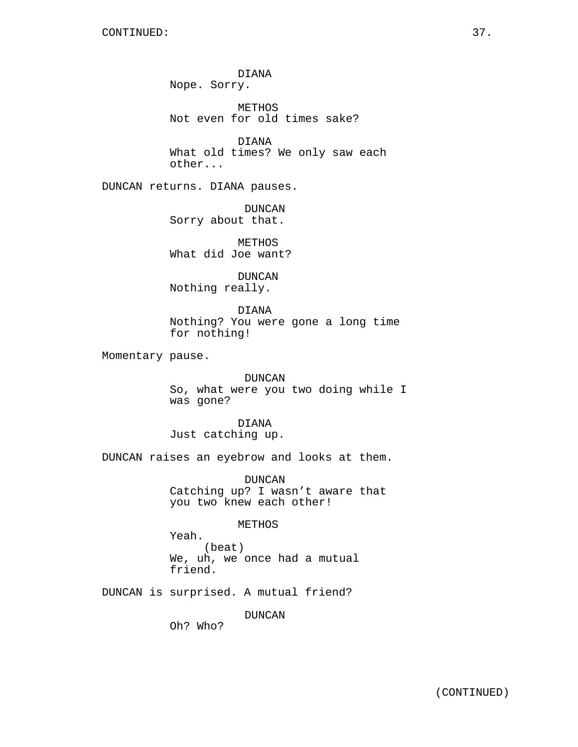DIANA Nope. Sorry.

METHOS Not even for old times sake?

DIANA What old times? We only saw each other...

DUNCAN returns. DIANA pauses.

DUNCAN Sorry about that.

METHOS What did Joe want?

DUNCAN Nothing really.

DIANA Nothing? You were gone a long time for nothing!

Momentary pause.

DUNCAN So, what were you two doing while I was gone?

DIANA Just catching up.

DUNCAN raises an eyebrow and looks at them.

DUNCAN Catching up? I wasn't aware that you two knew each other!

METHOS

Yeah. (beat) We, uh, we once had a mutual friend.

DUNCAN is surprised. A mutual friend?

DUNCAN

Oh? Who?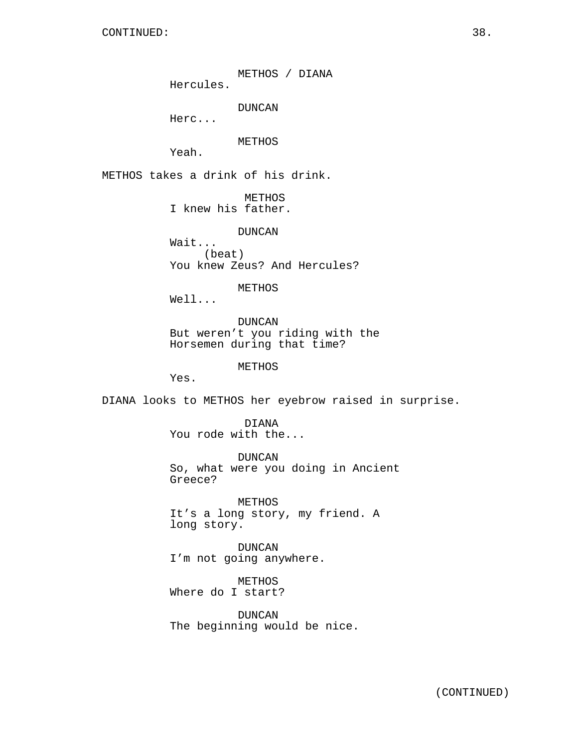METHOS / DIANA Hercules.

DUNCAN

Herc...

METHOS

Yeah.

METHOS takes a drink of his drink.

METHOS I knew his father.

DUNCAN

Wait... (beat) You knew Zeus? And Hercules?

METHOS

Well...

DUNCAN But weren't you riding with the Horsemen during that time?

METHOS

Yes.

DIANA looks to METHOS her eyebrow raised in surprise.

DIANA You rode with the...

DUNCAN So, what were you doing in Ancient Greece?

METHOS It's a long story, my friend. A long story.

DUNCAN I'm not going anywhere.

METHOS Where do I start?

DUNCAN The beginning would be nice.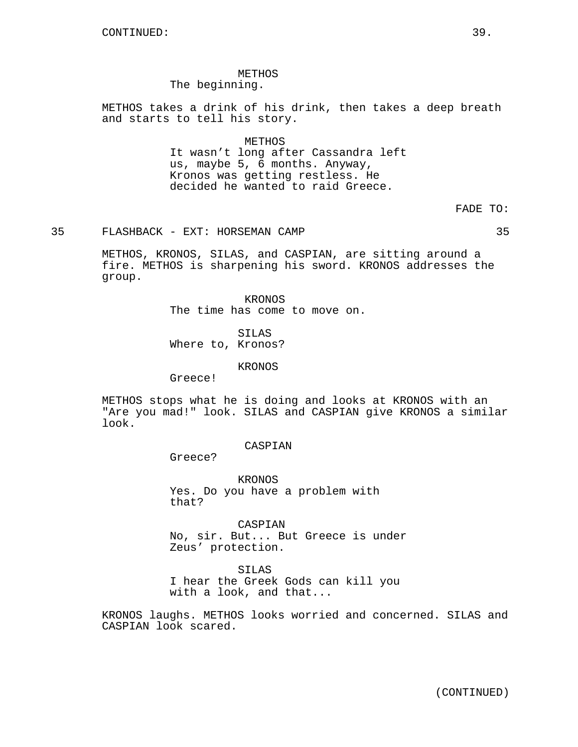# METHOS The beginning.

METHOS takes a drink of his drink, then takes a deep breath and starts to tell his story.

# METHOS

It wasn't long after Cassandra left us, maybe 5, 6 months. Anyway, Kronos was getting restless. He decided he wanted to raid Greece.

# FADE TO:

35 FLASHBACK - EXT: HORSEMAN CAMP 35

METHOS, KRONOS, SILAS, and CASPIAN, are sitting around a fire. METHOS is sharpening his sword. KRONOS addresses the group.

> KRONOS The time has come to move on.

SILAS Where to, Kronos?

#### KRONOS

Greece!

METHOS stops what he is doing and looks at KRONOS with an "Are you mad!" look. SILAS and CASPIAN give KRONOS a similar look.

## CASPIAN

Greece?

KRONOS Yes. Do you have a problem with that?

CASPIAN No, sir. But... But Greece is under Zeus' protection.

SILAS

I hear the Greek Gods can kill you with a look, and that...

KRONOS laughs. METHOS looks worried and concerned. SILAS and CASPIAN look scared.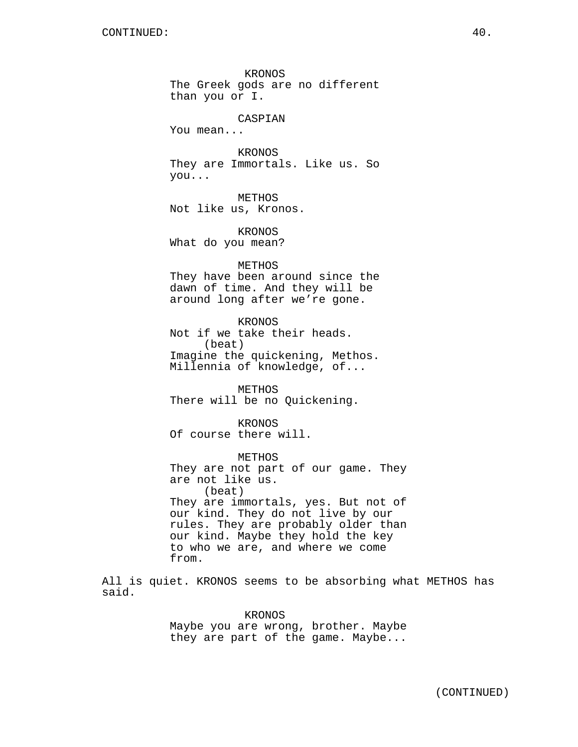KRONOS The Greek gods are no different than you or I.

# CASPIAN

You mean...

KRONOS They are Immortals. Like us. So you...

METHOS Not like us, Kronos.

KRONOS What do you mean?

METHOS They have been around since the dawn of time. And they will be around long after we're gone.

KRONOS Not if we take their heads. (beat) Imagine the quickening, Methos. Millennia of knowledge, of...

METHOS There will be no Quickening.

KRONOS Of course there will.

METHOS They are not part of our game. They are not like us. (beat) They are immortals, yes. But not of our kind. They do not live by our rules. They are probably older than our kind. Maybe they hold the key to who we are, and where we come from.

All is quiet. KRONOS seems to be absorbing what METHOS has said.

> KRONOS Maybe you are wrong, brother. Maybe they are part of the game. Maybe...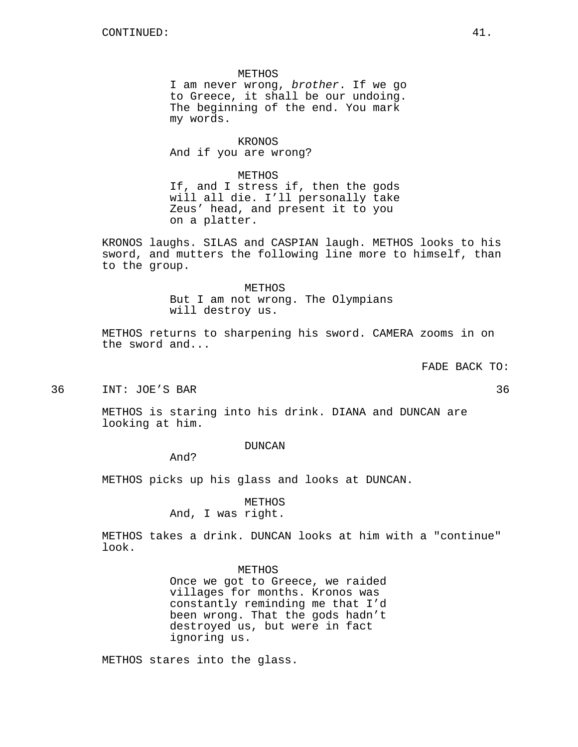METHOS I am never wrong, brother. If we go to Greece, it shall be our undoing. The beginning of the end. You mark my words.

KRONOS And if you are wrong?

METHOS If, and I stress if, then the gods will all die. I'll personally take Zeus' head, and present it to you on a platter.

KRONOS laughs. SILAS and CASPIAN laugh. METHOS looks to his sword, and mutters the following line more to himself, than to the group.

> METHOS But I am not wrong. The Olympians will destroy us.

METHOS returns to sharpening his sword. CAMERA zooms in on the sword and...

FADE BACK TO:

36 INT: JOE'S BAR 36

METHOS is staring into his drink. DIANA and DUNCAN are looking at him.

DUNCAN

And?

METHOS picks up his glass and looks at DUNCAN.

METHOS And, I was right.

METHOS takes a drink. DUNCAN looks at him with a "continue" look.

METHOS

Once we got to Greece, we raided villages for months. Kronos was constantly reminding me that I'd been wrong. That the gods hadn't destroyed us, but were in fact ignoring us.

METHOS stares into the glass.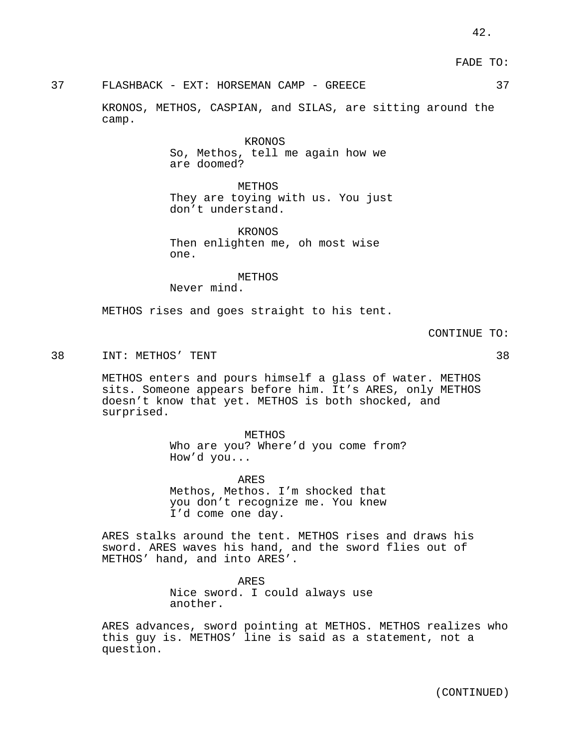FADE TO:

37 FLASHBACK - EXT: HORSEMAN CAMP - GREECE 37

KRONOS, METHOS, CASPIAN, and SILAS, are sitting around the camp.

> KRONOS So, Methos, tell me again how we are doomed?

**METHOS** They are toying with us. You just don't understand.

KRONOS Then enlighten me, oh most wise one.

METHOS Never mind.

METHOS rises and goes straight to his tent.

CONTINUE TO:

38 INT: METHOS' TENT 38

METHOS enters and pours himself a glass of water. METHOS sits. Someone appears before him. It's ARES, only METHOS doesn't know that yet. METHOS is both shocked, and surprised.

> METHOS Who are you? Where'd you come from? How'd you...

ARES Methos, Methos. I'm shocked that you don't recognize me. You knew I'd come one day.

ARES stalks around the tent. METHOS rises and draws his sword. ARES waves his hand, and the sword flies out of METHOS' hand, and into ARES'.

> ARES Nice sword. I could always use another.

ARES advances, sword pointing at METHOS. METHOS realizes who this guy is. METHOS' line is said as a statement, not a question.

(CONTINUED)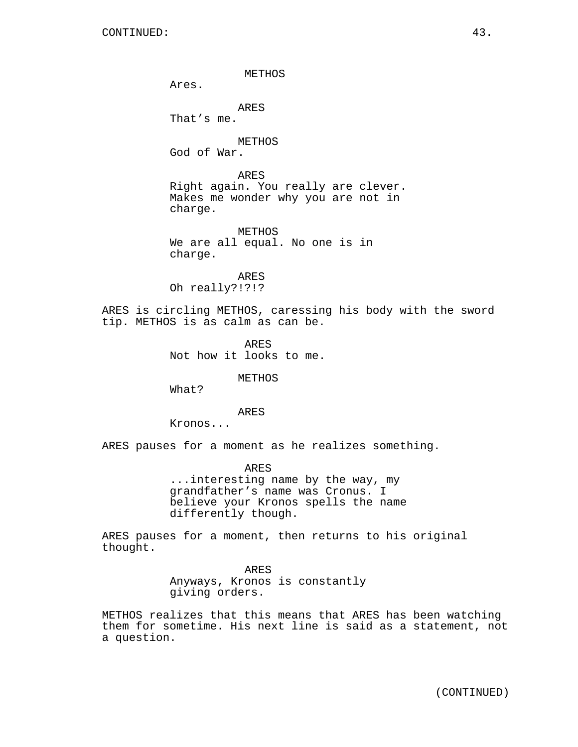METHOS Ares. ARES That's me. METHOS God of War. ARES Right again. You really are clever. Makes me wonder why you are not in charge. METHOS We are all equal. No one is in charge. ARES Oh really?!?!? ARES is circling METHOS, caressing his body with the sword tip. METHOS is as calm as can be. ARES Not how it looks to me. METHOS What?

ARES

Kronos...

ARES pauses for a moment as he realizes something.

ARES ...interesting name by the way, my grandfather's name was Cronus. I believe your Kronos spells the name differently though.

ARES pauses for a moment, then returns to his original thought.

> ARES Anyways, Kronos is constantly giving orders.

METHOS realizes that this means that ARES has been watching them for sometime. His next line is said as a statement, not a question.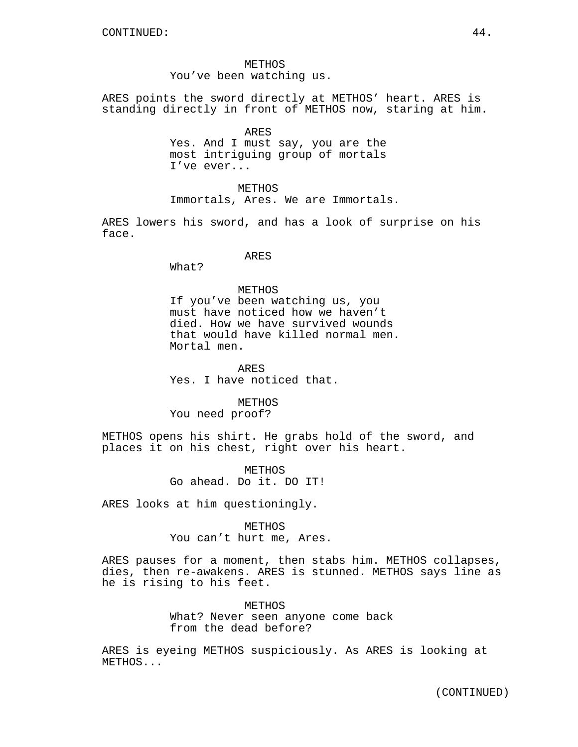METHOS You've been watching us.

ARES points the sword directly at METHOS' heart. ARES is standing directly in front of METHOS now, staring at him.

> ARES Yes. And I must say, you are the most intriguing group of mortals I've ever...

METHOS Immortals, Ares. We are Immortals.

ARES lowers his sword, and has a look of surprise on his face.

#### ARES

What?

# METHOS

If you've been watching us, you must have noticed how we haven't died. How we have survived wounds that would have killed normal men. Mortal men.

ARES Yes. I have noticed that.

METHOS You need proof?

METHOS opens his shirt. He grabs hold of the sword, and places it on his chest, right over his heart.

> METHOS Go ahead. Do it. DO IT!

ARES looks at him questioningly.

METHOS You can't hurt me, Ares.

ARES pauses for a moment, then stabs him. METHOS collapses, dies, then re-awakens. ARES is stunned. METHOS says line as he is rising to his feet.

> **METHOS** What? Never seen anyone come back from the dead before?

ARES is eyeing METHOS suspiciously. As ARES is looking at METHOS...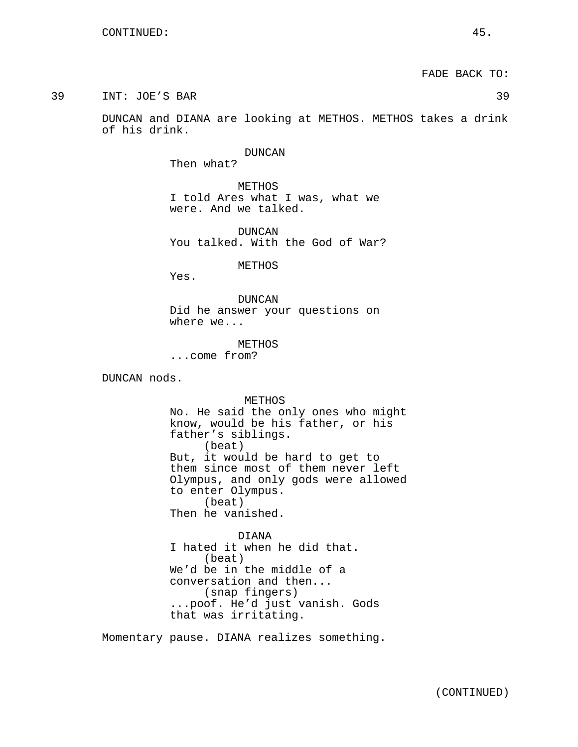39 INT: JOE'S BAR 39

DUNCAN and DIANA are looking at METHOS. METHOS takes a drink of his drink.

> DUNCAN Then what?

METHOS I told Ares what I was, what we were. And we talked.

DUNCAN You talked. With the God of War?

METHOS

Yes.

DUNCAN Did he answer your questions on where we...

METHOS ...come from?

DUNCAN nods.

METHOS

No. He said the only ones who might know, would be his father, or his father's siblings. (beat) But, it would be hard to get to them since most of them never left Olympus, and only gods were allowed to enter Olympus. (beat) Then he vanished.

DIANA I hated it when he did that. (beat) We'd be in the middle of a conversation and then... (snap fingers) ...poof. He'd just vanish. Gods that was irritating.

Momentary pause. DIANA realizes something.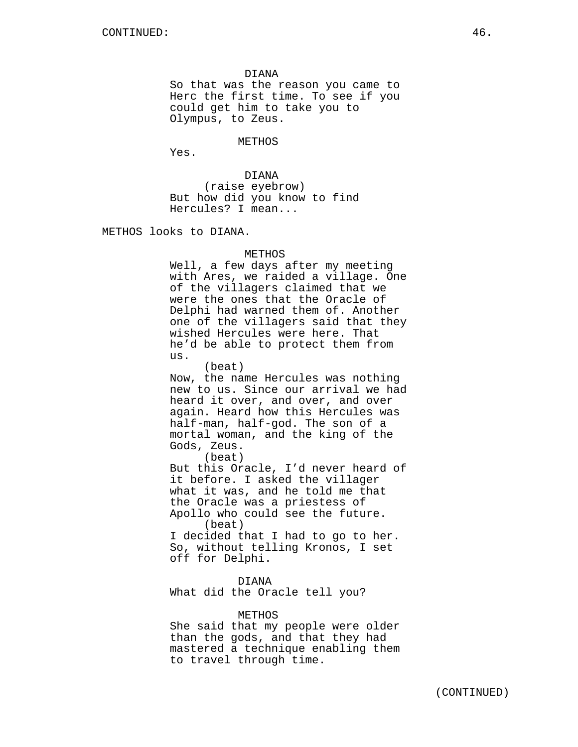DIANA So that was the reason you came to Herc the first time. To see if you could get him to take you to Olympus, to Zeus.

METHOS

Yes.

DIANA (raise eyebrow) But how did you know to find Hercules? I mean...

METHOS looks to DIANA.

#### METHOS

Well, a few days after my meeting with Ares, we raided a village. One of the villagers claimed that we were the ones that the Oracle of Delphi had warned them of. Another one of the villagers said that they wished Hercules were here. That he'd be able to protect them from us.

(beat) Now, the name Hercules was nothing new to us. Since our arrival we had heard it over, and over, and over again. Heard how this Hercules was half-man, half-god. The son of a mortal woman, and the king of the Gods, Zeus.

(beat)

But this Oracle, I'd never heard of it before. I asked the villager what it was, and he told me that the Oracle was a priestess of Apollo who could see the future. (beat) I decided that I had to go to her.

So, without telling Kronos, I set off for Delphi.

DIANA What did the Oracle tell you?

#### METHOS

She said that my people were older than the gods, and that they had mastered a technique enabling them to travel through time.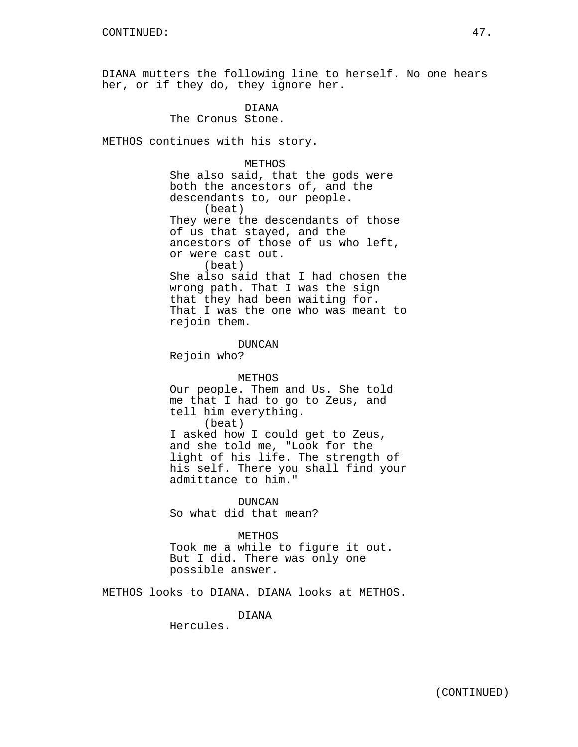DIANA mutters the following line to herself. No one hears her, or if they do, they ignore her.

> DIANA The Cronus Stone.

METHOS continues with his story.

METHOS She also said, that the gods were both the ancestors of, and the descendants to, our people. (beat) They were the descendants of those of us that stayed, and the ancestors of those of us who left, or were cast out. (beat) She also said that I had chosen the wrong path. That I was the sign that they had been waiting for. That I was the one who was meant to rejoin them.

Rejoin who? METHOS Our people. Them and Us. She told me that I had to go to Zeus, and tell him everything. (beat) I asked how I could get to Zeus, and she told me, "Look for the light of his life. The strength of his self. There you shall find your admittance to him."

DUNCAN

DUNCAN So what did that mean?

METHOS Took me a while to figure it out. But I did. There was only one possible answer.

METHOS looks to DIANA. DIANA looks at METHOS.

DIANA

Hercules.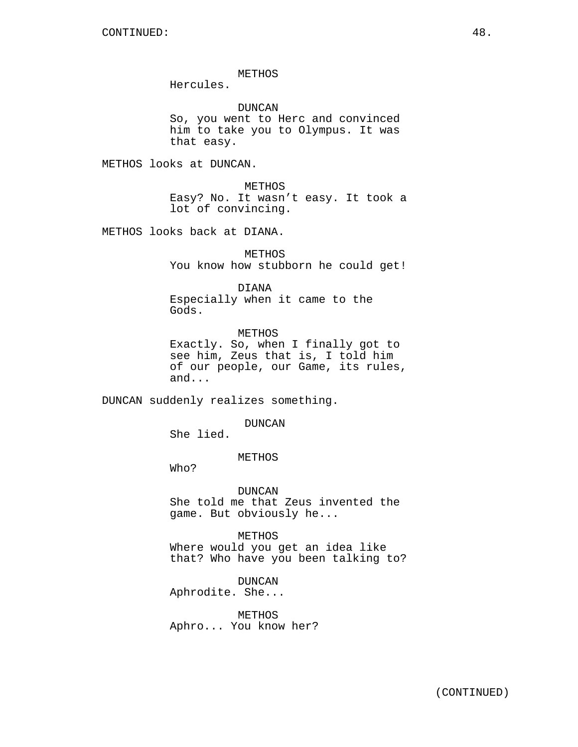METHOS

Hercules.

DUNCAN

So, you went to Herc and convinced him to take you to Olympus. It was that easy.

METHOS looks at DUNCAN.

METHOS Easy? No. It wasn't easy. It took a lot of convincing.

METHOS looks back at DIANA.

METHOS You know how stubborn he could get!

DIANA

Especially when it came to the Gods.

METHOS Exactly. So, when I finally got to see him, Zeus that is, I told him of our people, our Game, its rules, and...

DUNCAN suddenly realizes something.

DUNCAN

She lied.

METHOS

Who?

DUNCAN She told me that Zeus invented the game. But obviously he...

METHOS Where would you get an idea like that? Who have you been talking to?

DUNCAN Aphrodite. She...

METHOS Aphro... You know her?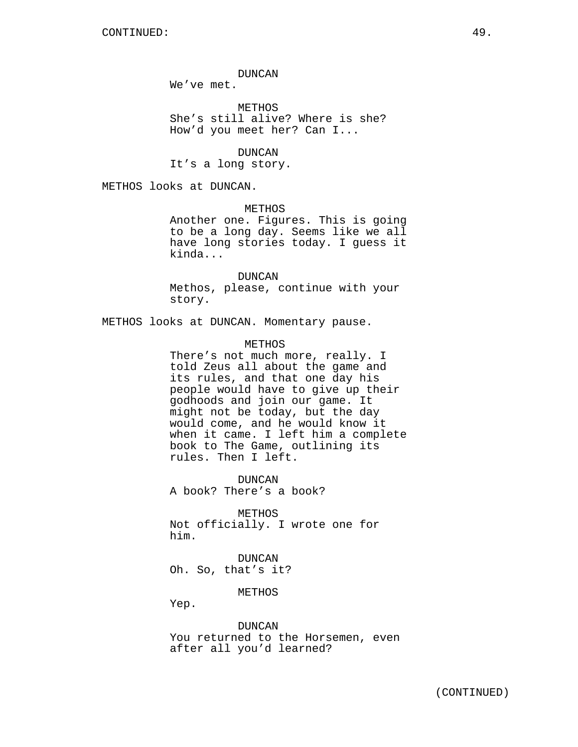DUNCAN

We've met.

**METHOS** She's still alive? Where is she? How'd you meet her? Can I...

DUNCAN It's a long story.

METHOS looks at DUNCAN.

METHOS

Another one. Figures. This is going to be a long day. Seems like we all have long stories today. I guess it kinda...

DUNCAN Methos, please, continue with your story.

METHOS looks at DUNCAN. Momentary pause.

METHOS

There's not much more, really. I told Zeus all about the game and its rules, and that one day his people would have to give up their godhoods and join our game. It might not be today, but the day would come, and he would know it when it came. I left him a complete book to The Game, outlining its rules. Then I left.

DUNCAN A book? There's a book?

METHOS Not officially. I wrote one for him.

DUNCAN Oh. So, that's it?

METHOS

Yep.

DUNCAN You returned to the Horsemen, even after all you'd learned?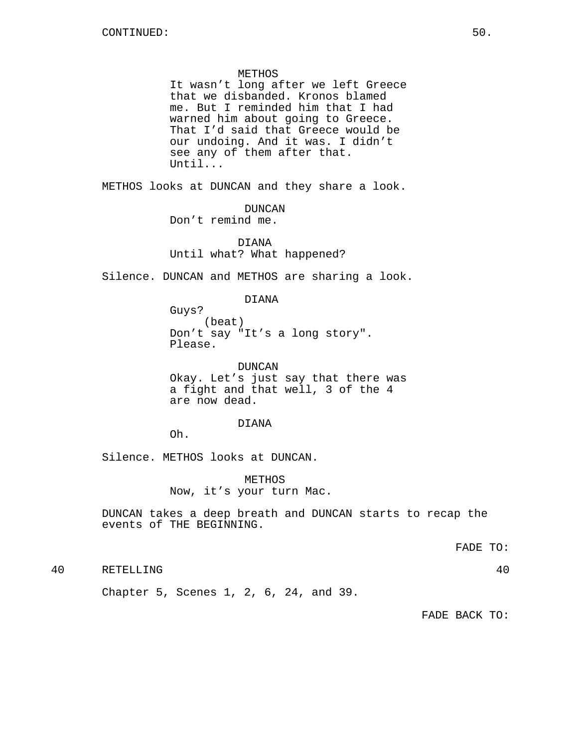#### METHOS

It wasn't long after we left Greece that we disbanded. Kronos blamed me. But I reminded him that I had warned him about going to Greece. That I'd said that Greece would be our undoing. And it was. I didn't see any of them after that. Until...

METHOS looks at DUNCAN and they share a look.

DUNCAN Don't remind me.

DIANA Until what? What happened?

Silence. DUNCAN and METHOS are sharing a look.

DIANA

Guys? (beat) Don't say "It's a long story". Please.

DUNCAN Okay. Let's just say that there was a fight and that well, 3 of the 4 are now dead.

#### DIANA

Oh.

Silence. METHOS looks at DUNCAN.

METHOS Now, it's your turn Mac.

DUNCAN takes a deep breath and DUNCAN starts to recap the events of THE BEGINNING.

FADE TO:

40 RETELLING 40

Chapter 5, Scenes 1, 2, 6, 24, and 39.

FADE BACK TO: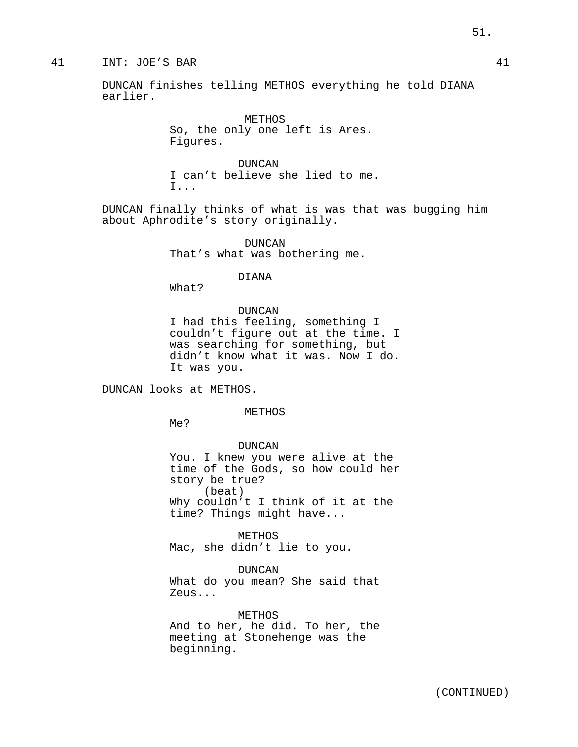# 41 INT: JOE'S BAR 41

DUNCAN finishes telling METHOS everything he told DIANA earlier.

> METHOS So, the only one left is Ares. Figures.

DUNCAN I can't believe she lied to me. I...

DUNCAN finally thinks of what is was that was bugging him about Aphrodite's story originally.

> DUNCAN That's what was bothering me.

#### DIANA

What?

DUNCAN I had this feeling, something I couldn't figure out at the time. I was searching for something, but didn't know what it was. Now I do. It was you.

DUNCAN looks at METHOS.

METHOS

Me?

DUNCAN You. I knew you were alive at the time of the Gods, so how could her story be true? (beat) Why couldn't I think of it at the time? Things might have...

METHOS Mac, she didn't lie to you.

DUNCAN What do you mean? She said that Zeus...

METHOS And to her, he did. To her, the meeting at Stonehenge was the beginning.

51.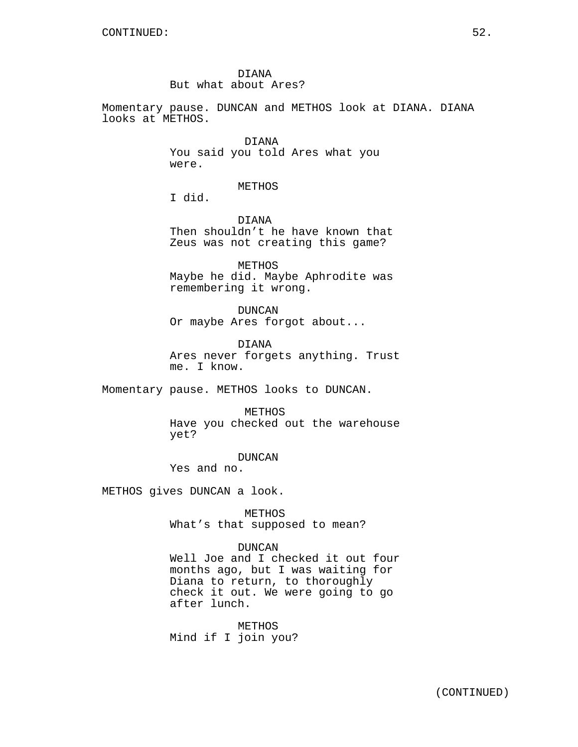DIANA But what about Ares?

Momentary pause. DUNCAN and METHOS look at DIANA. DIANA looks at METHOS.

> DIANA You said you told Ares what you were.

> > METHOS

I did.

DIANA Then shouldn't he have known that Zeus was not creating this game?

METHOS Maybe he did. Maybe Aphrodite was remembering it wrong.

DUNCAN Or maybe Ares forgot about...

DIANA Ares never forgets anything. Trust me. I know.

Momentary pause. METHOS looks to DUNCAN.

METHOS

Have you checked out the warehouse yet?

DUNCAN Yes and no.

METHOS gives DUNCAN a look.

METHOS What's that supposed to mean?

DUNCAN Well Joe and I checked it out four months ago, but I was waiting for Diana to return, to thoroughly check it out. We were going to go after lunch.

METHOS Mind if I join you?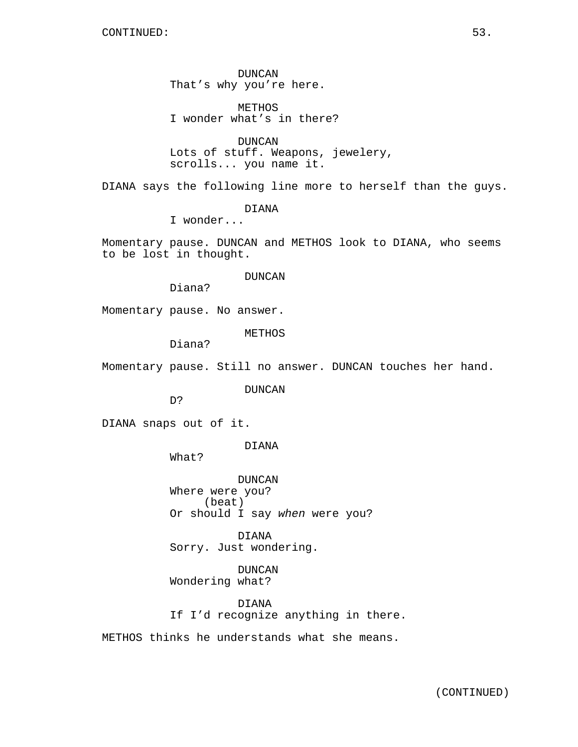DUNCAN That's why you're here.

METHOS I wonder what's in there?

DUNCAN Lots of stuff. Weapons, jewelery, scrolls... you name it.

DIANA says the following line more to herself than the guys.

DIANA

I wonder...

Momentary pause. DUNCAN and METHOS look to DIANA, who seems to be lost in thought.

#### DUNCAN

Diana?

Momentary pause. No answer.

METHOS

Diana?

Momentary pause. Still no answer. DUNCAN touches her hand.

DUNCAN

D?

DIANA snaps out of it.

# DIANA

What?

DUNCAN Where were you? (beat) Or should I say when were you?

DIANA Sorry. Just wondering.

DUNCAN Wondering what?

DIANA If I'd recognize anything in there.

METHOS thinks he understands what she means.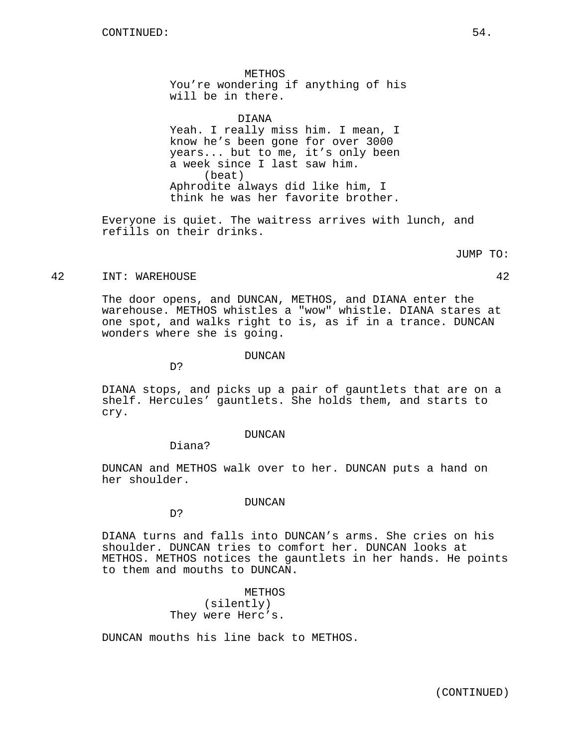METHOS You're wondering if anything of his will be in there.

DIANA

Yeah. I really miss him. I mean, I know he's been gone for over 3000 years... but to me, it's only been a week since I last saw him. (beat) Aphrodite always did like him, I think he was her favorite brother.

Everyone is quiet. The waitress arrives with lunch, and refills on their drinks.

JUMP TO:

#### 42 INT: WAREHOUSE 42

The door opens, and DUNCAN, METHOS, and DIANA enter the warehouse. METHOS whistles a "wow" whistle. DIANA stares at one spot, and walks right to is, as if in a trance. DUNCAN wonders where she is going.

# DUNCAN

DIANA stops, and picks up a pair of gauntlets that are on a shelf. Hercules' gauntlets. She holds them, and starts to cry.

# DUNCAN

Diana?

D?

DUNCAN and METHOS walk over to her. DUNCAN puts a hand on her shoulder.

#### DUNCAN

D?

DIANA turns and falls into DUNCAN's arms. She cries on his shoulder. DUNCAN tries to comfort her. DUNCAN looks at METHOS. METHOS notices the gauntlets in her hands. He points to them and mouths to DUNCAN.

> METHOS (silently) They were Herc's.

DUNCAN mouths his line back to METHOS.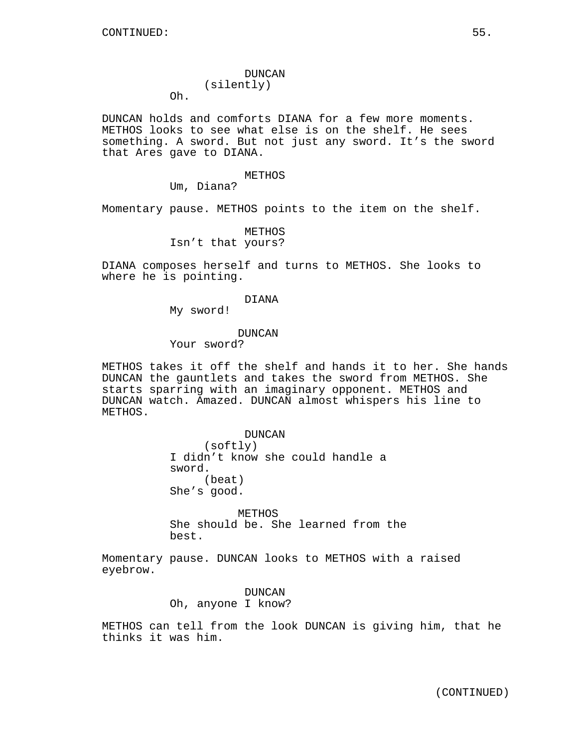# DUNCAN (silently)

Oh.

DUNCAN holds and comforts DIANA for a few more moments. METHOS looks to see what else is on the shelf. He sees something. A sword. But not just any sword. It's the sword that Ares gave to DIANA.

#### METHOS

Um, Diana?

Momentary pause. METHOS points to the item on the shelf.

METHOS Isn't that yours?

DIANA composes herself and turns to METHOS. She looks to where he is pointing.

#### DIANA

My sword!

#### DUNCAN

Your sword?

METHOS takes it off the shelf and hands it to her. She hands DUNCAN the gauntlets and takes the sword from METHOS. She starts sparring with an imaginary opponent. METHOS and DUNCAN watch. Amazed. DUNCAN almost whispers his line to METHOS.

> DUNCAN (softly) I didn't know she could handle a sword. (beat) She's good.

METHOS She should be. She learned from the best.

Momentary pause. DUNCAN looks to METHOS with a raised eyebrow.

> DUNCAN Oh, anyone I know?

METHOS can tell from the look DUNCAN is giving him, that he thinks it was him.

(CONTINUED)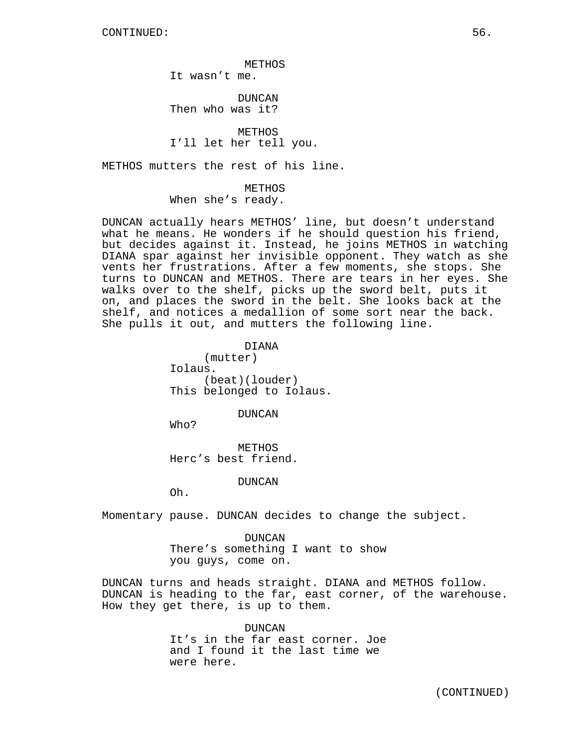METHOS

It wasn't me.

DUNCAN Then who was it?

METHOS I'll let her tell you.

METHOS mutters the rest of his line.

METHOS When she's ready.

DUNCAN actually hears METHOS' line, but doesn't understand what he means. He wonders if he should question his friend, but decides against it. Instead, he joins METHOS in watching DIANA spar against her invisible opponent. They watch as she vents her frustrations. After a few moments, she stops. She turns to DUNCAN and METHOS. There are tears in her eyes. She walks over to the shelf, picks up the sword belt, puts it on, and places the sword in the belt. She looks back at the shelf, and notices a medallion of some sort near the back. She pulls it out, and mutters the following line.

> DIANA (mutter) Iolaus. (beat)(louder) This belonged to Iolaus.

> > DUNCAN

Who?

METHOS Herc's best friend.

DUNCAN

Oh.

Momentary pause. DUNCAN decides to change the subject.

DUNCAN There's something I want to show you guys, come on.

DUNCAN turns and heads straight. DIANA and METHOS follow. DUNCAN is heading to the far, east corner, of the warehouse. How they get there, is up to them.

> DUNCAN It's in the far east corner. Joe and I found it the last time we were here.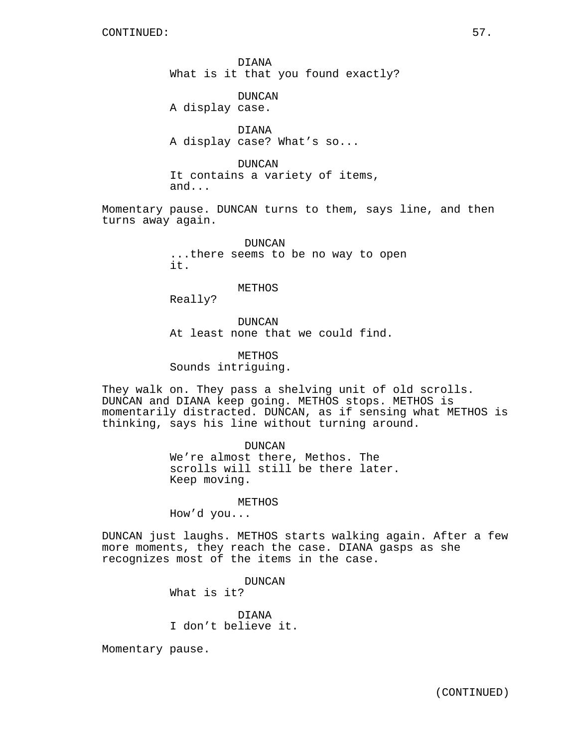DIANA What is it that you found exactly?

DUNCAN A display case.

DIANA A display case? What's so...

DUNCAN It contains a variety of items,

and...

Momentary pause. DUNCAN turns to them, says line, and then turns away again.

> DUNCAN ...there seems to be no way to open it.

#### METHOS

Really?

DUNCAN At least none that we could find.

METHOS Sounds intriguing.

They walk on. They pass a shelving unit of old scrolls. DUNCAN and DIANA keep going. METHOS stops. METHOS is momentarily distracted. DUNCAN, as if sensing what METHOS is thinking, says his line without turning around.

> DUNCAN We're almost there, Methos. The scrolls will still be there later. Keep moving.

> > METHOS

How'd you...

DUNCAN just laughs. METHOS starts walking again. After a few more moments, they reach the case. DIANA gasps as she recognizes most of the items in the case.

> DUNCAN What is it?

DIANA I don't believe it.

Momentary pause.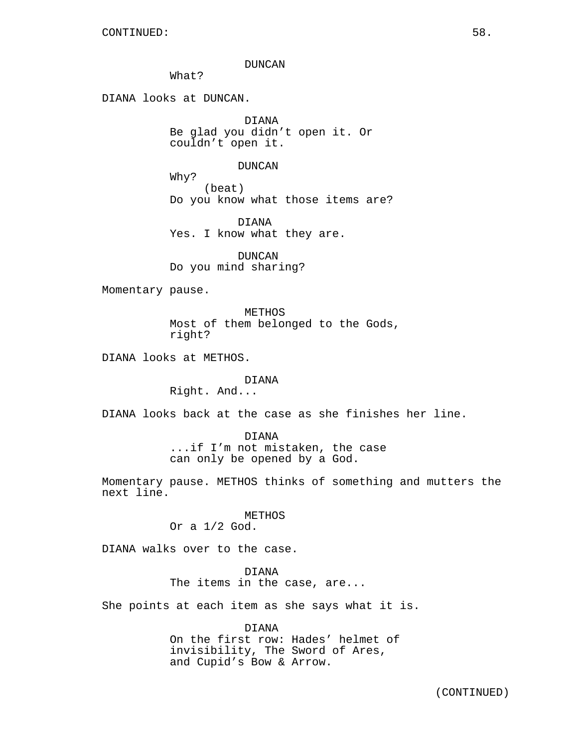#### DUNCAN

What?

DIANA looks at DUNCAN.

DIANA Be glad you didn't open it. Or couldn't open it.

## DUNCAN

Why? (beat) Do you know what those items are?

DIANA Yes. I know what they are.

DUNCAN Do you mind sharing?

Momentary pause.

METHOS Most of them belonged to the Gods, right?

DIANA looks at METHOS.

# DIANA

Right. And...

DIANA looks back at the case as she finishes her line.

# DIANA

...if I'm not mistaken, the case can only be opened by a God.

Momentary pause. METHOS thinks of something and mutters the next line.

#### METHOS

Or a 1/2 God.

DIANA walks over to the case.

DIANA

The items in the case, are...

She points at each item as she says what it is.

DIANA On the first row: Hades' helmet of invisibility, The Sword of Ares, and Cupid's Bow & Arrow.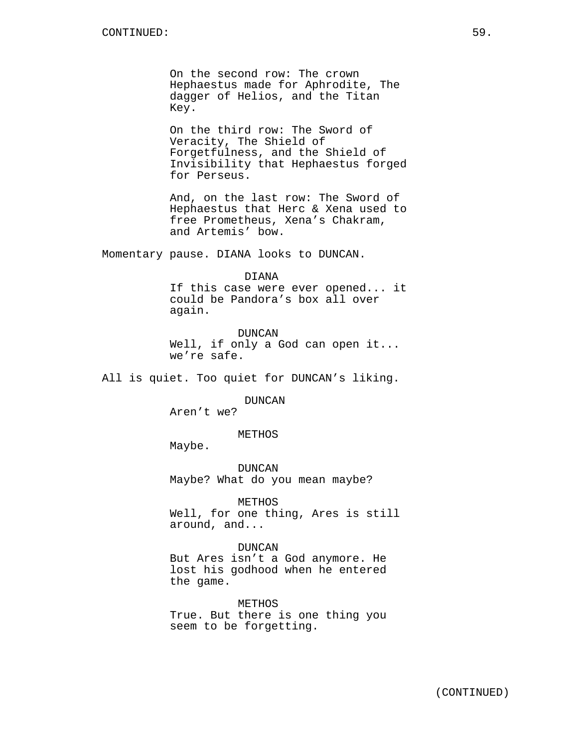On the second row: The crown Hephaestus made for Aphrodite, The dagger of Helios, and the Titan Key.

On the third row: The Sword of Veracity, The Shield of Forgetfulness, and the Shield of Invisibility that Hephaestus forged for Perseus.

And, on the last row: The Sword of Hephaestus that Herc & Xena used to free Prometheus, Xena's Chakram, and Artemis' bow.

Momentary pause. DIANA looks to DUNCAN.

#### DIANA

If this case were ever opened... it could be Pandora's box all over again.

DUNCAN Well, if only a God can open it... we're safe.

All is quiet. Too quiet for DUNCAN's liking.

DUNCAN

Aren't we?

METHOS

Maybe.

DUNCAN Maybe? What do you mean maybe?

METHOS

Well, for one thing, Ares is still around, and...

DUNCAN

But Ares isn't a God anymore. He lost his godhood when he entered the game.

METHOS True. But there is one thing you seem to be forgetting.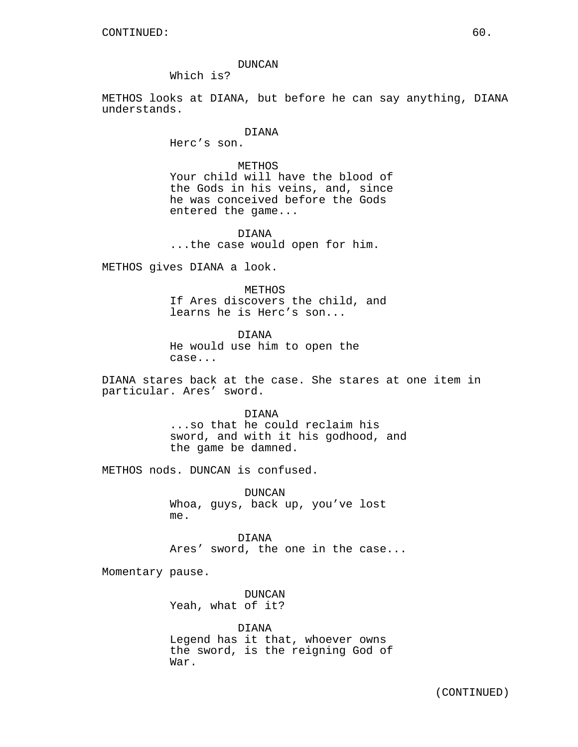Which is?

METHOS looks at DIANA, but before he can say anything, DIANA understands.

#### DIANA

Herc's son.

# METHOS

Your child will have the blood of the Gods in his veins, and, since he was conceived before the Gods entered the game...

DIANA ...the case would open for him.

METHOS gives DIANA a look.

METHOS

If Ares discovers the child, and learns he is Herc's son...

DIANA He would use him to open the case...

DIANA stares back at the case. She stares at one item in particular. Ares' sword.

> DIANA ...so that he could reclaim his sword, and with it his godhood, and the game be damned.

METHOS nods. DUNCAN is confused.

DUNCAN Whoa, guys, back up, you've lost me.

DIANA Ares' sword, the one in the case...

Momentary pause.

DUNCAN Yeah, what of it?

DIANA Legend has it that, whoever owns the sword, is the reigning God of War.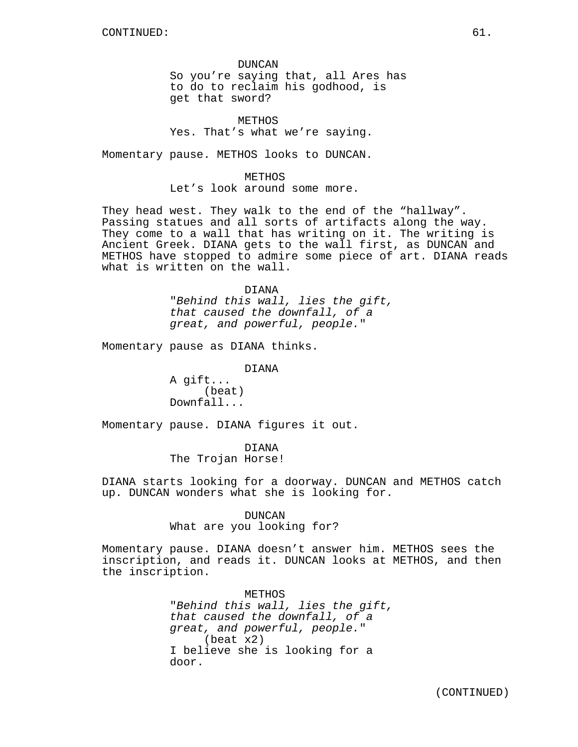DUNCAN So you're saying that, all Ares has to do to reclaim his godhood, is get that sword?

METHOS Yes. That's what we're saying.

Momentary pause. METHOS looks to DUNCAN.

METHOS Let's look around some more.

They head west. They walk to the end of the "hallway". Passing statues and all sorts of artifacts along the way. They come to a wall that has writing on it. The writing is Ancient Greek. DIANA gets to the wall first, as DUNCAN and METHOS have stopped to admire some piece of art. DIANA reads what is written on the wall.

DIANA

"Behind this wall, lies the gift, that caused the downfall, of a great, and powerful, people."

Momentary pause as DIANA thinks.

DIANA

A gift... (beat) Downfall...

Momentary pause. DIANA figures it out.

DIANA The Trojan Horse!

DIANA starts looking for a doorway. DUNCAN and METHOS catch up. DUNCAN wonders what she is looking for.

DUNCAN

What are you looking for?

Momentary pause. DIANA doesn't answer him. METHOS sees the inscription, and reads it. DUNCAN looks at METHOS, and then the inscription.

> METHOS "Behind this wall, lies the gift, that caused the downfall, of a great, and powerful, people." (beat x2) I believe she is looking for a door.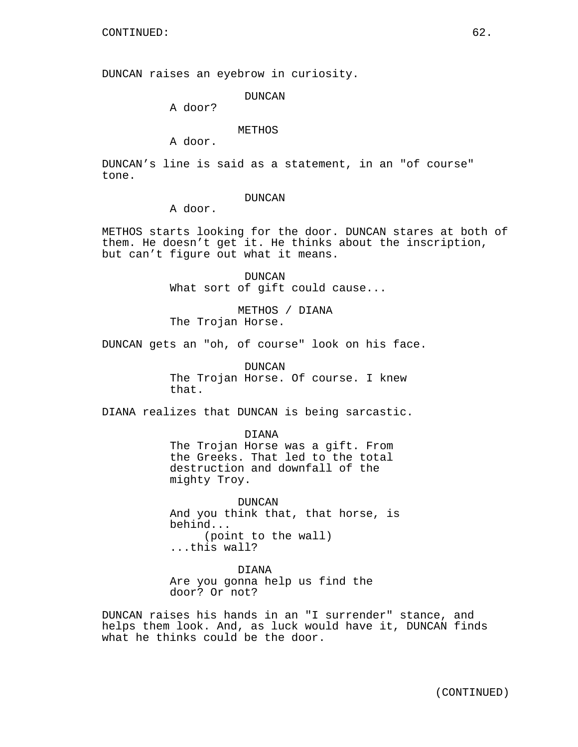DUNCAN raises an eyebrow in curiosity.

DUNCAN

A door?

# METHOS

A door.

DUNCAN's line is said as a statement, in an "of course" tone.

#### DUNCAN

A door.

METHOS starts looking for the door. DUNCAN stares at both of them. He doesn't get it. He thinks about the inscription, but can't figure out what it means.

> DUNCAN What sort of gift could cause...

METHOS / DIANA The Trojan Horse.

DUNCAN gets an "oh, of course" look on his face.

DUNCAN The Trojan Horse. Of course. I knew that.

DIANA realizes that DUNCAN is being sarcastic.

DIANA

The Trojan Horse was a gift. From the Greeks. That led to the total destruction and downfall of the mighty Troy.

DUNCAN And you think that, that horse, is behind... (point to the wall) ...this wall?

DIANA Are you gonna help us find the door? Or not?

DUNCAN raises his hands in an "I surrender" stance, and helps them look. And, as luck would have it, DUNCAN finds what he thinks could be the door.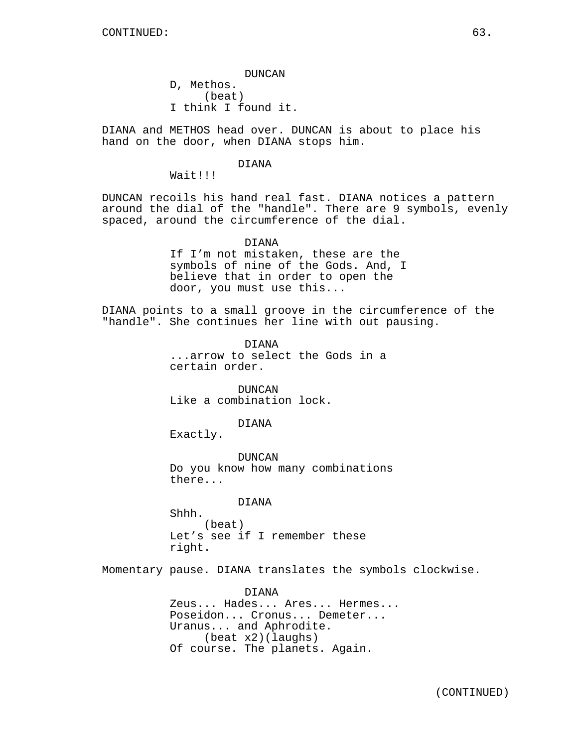DUNCAN D, Methos. (beat) I think I found it.

DIANA and METHOS head over. DUNCAN is about to place his hand on the door, when DIANA stops him.

#### DIANA

Wait!!!

DUNCAN recoils his hand real fast. DIANA notices a pattern around the dial of the "handle". There are 9 symbols, evenly spaced, around the circumference of the dial.

> DIANA If I'm not mistaken, these are the symbols of nine of the Gods. And, I believe that in order to open the door, you must use this...

DIANA points to a small groove in the circumference of the "handle". She continues her line with out pausing.

> DIANA ...arrow to select the Gods in a certain order.

DUNCAN Like a combination lock.

#### DIANA

Exactly.

DUNCAN Do you know how many combinations there...

#### DIANA

Shhh. (beat) Let's see if I remember these right.

Momentary pause. DIANA translates the symbols clockwise.

DIANA Zeus... Hades... Ares... Hermes... Poseidon... Cronus... Demeter... Uranus... and Aphrodite. (beat x2)(laughs) Of course. The planets. Again.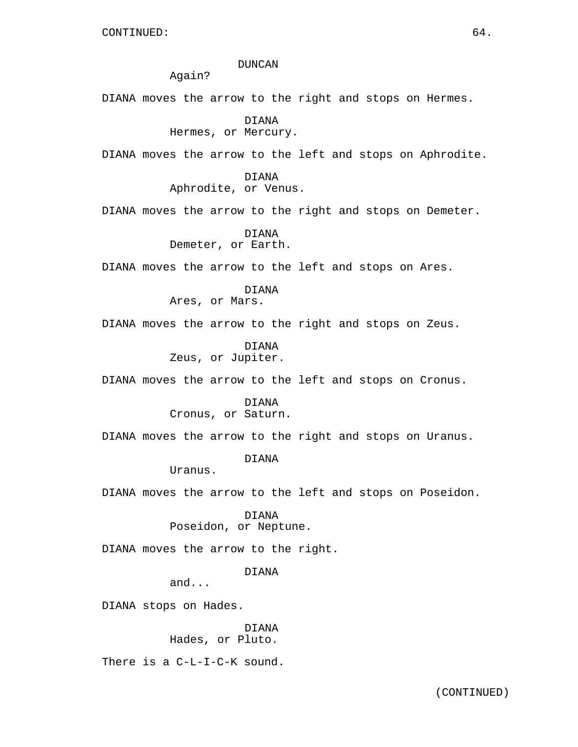#### DUNCAN

Again?

DIANA moves the arrow to the right and stops on Hermes.

DIANA Hermes, or Mercury.

DIANA moves the arrow to the left and stops on Aphrodite.

DIANA Aphrodite, or Venus.

DIANA moves the arrow to the right and stops on Demeter.

DIANA Demeter, or Earth.

DIANA moves the arrow to the left and stops on Ares.

DIANA Ares, or Mars.

DIANA moves the arrow to the right and stops on Zeus.

DIANA Zeus, or Jupiter.

DIANA moves the arrow to the left and stops on Cronus.

DIANA Cronus, or Saturn.

DIANA moves the arrow to the right and stops on Uranus.

# DIANA

Uranus.

DIANA moves the arrow to the left and stops on Poseidon.

DIANA

Poseidon, or Neptune.

DIANA moves the arrow to the right.

DIANA

and...

DIANA stops on Hades.

DIANA Hades, or Pluto.

There is a C-L-I-C-K sound.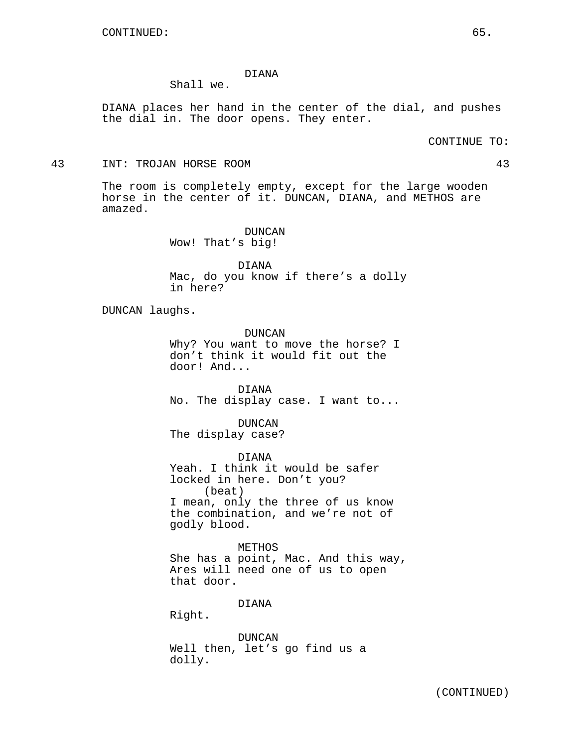# DIANA

Shall we.

DIANA places her hand in the center of the dial, and pushes the dial in. The door opens. They enter.

CONTINUE TO:

43 INT: TROJAN HORSE ROOM 43

The room is completely empty, except for the large wooden horse in the center of it. DUNCAN, DIANA, and METHOS are amazed.

> DUNCAN Wow! That's big!

DIANA Mac, do you know if there's a dolly in here?

DUNCAN laughs.

DUNCAN Why? You want to move the horse? I don't think it would fit out the door! And...

DIANA No. The display case. I want to...

DUNCAN The display case?

DIANA Yeah. I think it would be safer locked in here. Don't you? (beat) I mean, only the three of us know the combination, and we're not of godly blood.

METHOS She has a point, Mac. And this way, Ares will need one of us to open that door.

DIANA

Right.

DUNCAN Well then, let's go find us a dolly.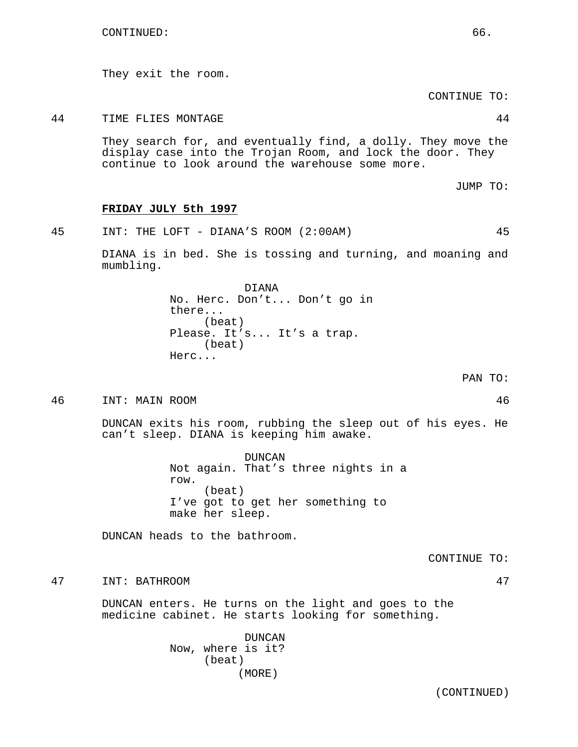They exit the room.

CONTINUE TO:

44 TIME FLIES MONTAGE 44

They search for, and eventually find, a dolly. They move the display case into the Trojan Room, and lock the door. They continue to look around the warehouse some more.

JUMP TO:

#### **FRIDAY JULY 5th 1997**

45 INT: THE LOFT - DIANA'S ROOM (2:00AM) 45

DIANA is in bed. She is tossing and turning, and moaning and mumbling.

> DIANA No. Herc. Don't... Don't go in there... (beat) Please. It's... It's a trap. (beat) Herc...

> > PAN TO:

46 INT: MAIN ROOM 46

DUNCAN exits his room, rubbing the sleep out of his eyes. He can't sleep. DIANA is keeping him awake.

> DUNCAN Not again. That's three nights in a row. (beat) I've got to get her something to make her sleep.

DUNCAN heads to the bathroom.

CONTINUE TO:

47 INT: BATHROOM 47

DUNCAN enters. He turns on the light and goes to the medicine cabinet. He starts looking for something.

> DUNCAN Now, where is it? (beat) (MORE)

> > (CONTINUED)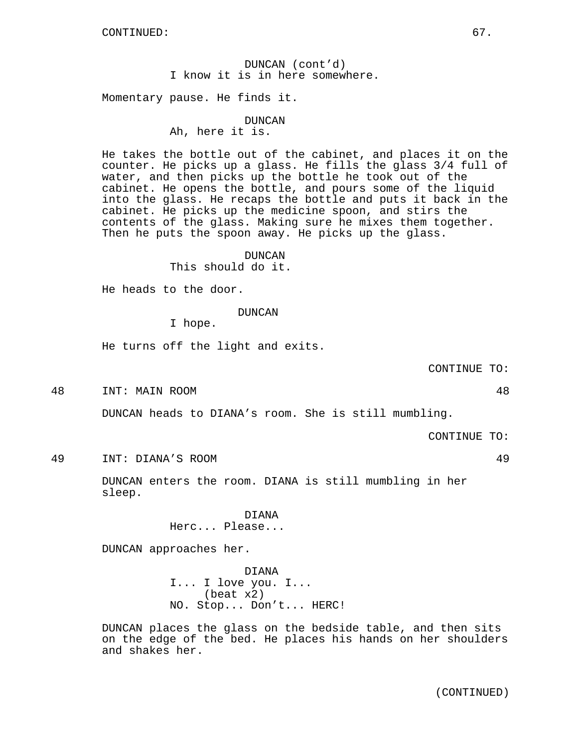# DUNCAN (cont'd) I know it is in here somewhere.

Momentary pause. He finds it.

# DUNCAN Ah, here it is.

He takes the bottle out of the cabinet, and places it on the counter. He picks up a glass. He fills the glass 3/4 full of water, and then picks up the bottle he took out of the cabinet. He opens the bottle, and pours some of the liquid into the glass. He recaps the bottle and puts it back in the cabinet. He picks up the medicine spoon, and stirs the contents of the glass. Making sure he mixes them together. Then he puts the spoon away. He picks up the glass.

# DUNCAN

This should do it.

He heads to the door.

# DUNCAN

I hope.

He turns off the light and exits.

CONTINUE TO:

48 INT: MAIN ROOM 48

DUNCAN heads to DIANA's room. She is still mumbling.

CONTINUE TO:

49 INT: DIANA'S ROOM 49

DUNCAN enters the room. DIANA is still mumbling in her sleep.

> DIANA Herc... Please...

DUNCAN approaches her.

DIANA I... I love you. I... (beat x2) NO. Stop... Don't... HERC!

DUNCAN places the glass on the bedside table, and then sits on the edge of the bed. He places his hands on her shoulders and shakes her.

(CONTINUED)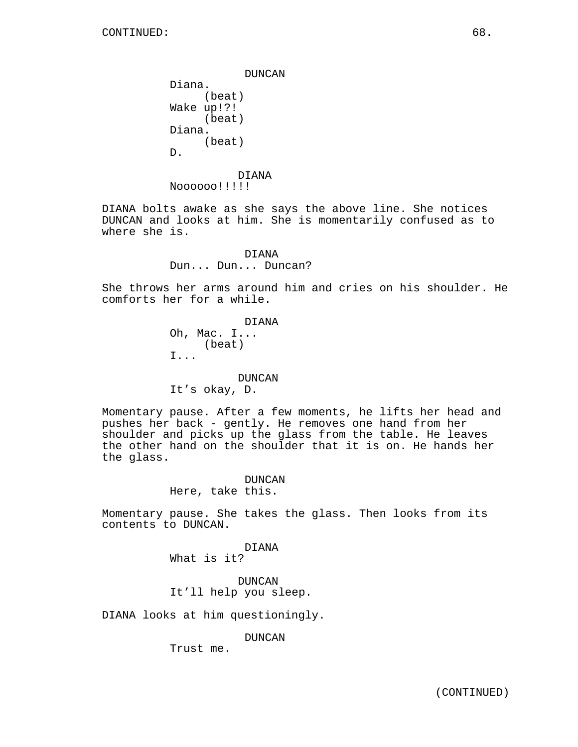DUNCAN Diana. (beat) Wake up!?! (beat) Diana. (beat) D. DIANA

Noooooo!!!!!

DIANA bolts awake as she says the above line. She notices DUNCAN and looks at him. She is momentarily confused as to where she is.

> DIANA Dun... Dun... Duncan?

She throws her arms around him and cries on his shoulder. He comforts her for a while.

> DIANA Oh, Mac. I... (beat) I...

DUNCAN It's okay, D.

Momentary pause. After a few moments, he lifts her head and pushes her back - gently. He removes one hand from her shoulder and picks up the glass from the table. He leaves the other hand on the shoulder that it is on. He hands her the glass.

> DUNCAN Here, take this.

Momentary pause. She takes the glass. Then looks from its contents to DUNCAN.

> DIANA What is it?

DUNCAN It'll help you sleep.

DIANA looks at him questioningly.

DUNCAN

Trust me.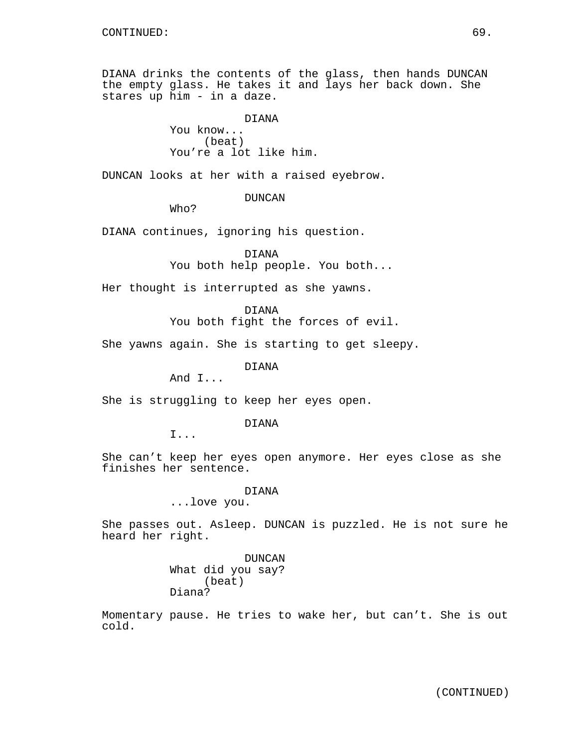DIANA drinks the contents of the glass, then hands DUNCAN the empty glass. He takes it and lays her back down. She stares up him - in a daze.

> DIANA You know... (beat) You're a lot like him.

DUNCAN looks at her with a raised eyebrow.

DUNCAN

Who?

DIANA continues, ignoring his question.

DIANA You both help people. You both...

Her thought is interrupted as she yawns.

DIANA

You both fight the forces of evil.

She yawns again. She is starting to get sleepy.

DIANA

And I...

She is struggling to keep her eyes open.

DIANA

I...

She can't keep her eyes open anymore. Her eyes close as she finishes her sentence.

DIANA

...love you.

She passes out. Asleep. DUNCAN is puzzled. He is not sure he heard her right.

> DUNCAN What did you say? (beat) Diana?

Momentary pause. He tries to wake her, but can't. She is out cold.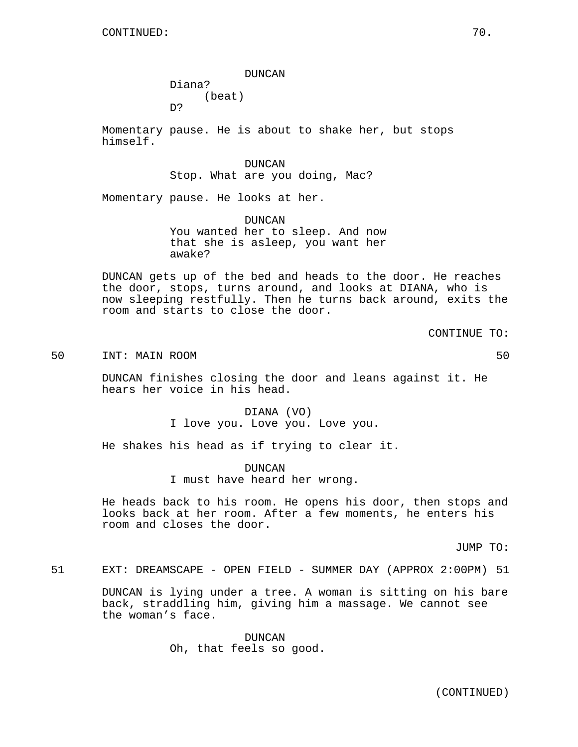CONTINUED: 70.

DUNCAN Diana? (beat)

D?

Momentary pause. He is about to shake her, but stops himself.

> DUNCAN Stop. What are you doing, Mac?

Momentary pause. He looks at her.

DUNCAN You wanted her to sleep. And now that she is asleep, you want her awake?

DUNCAN gets up of the bed and heads to the door. He reaches the door, stops, turns around, and looks at DIANA, who is now sleeping restfully. Then he turns back around, exits the room and starts to close the door.

CONTINUE TO:

50 INT: MAIN ROOM 50

DUNCAN finishes closing the door and leans against it. He hears her voice in his head.

> DIANA (VO) I love you. Love you. Love you.

He shakes his head as if trying to clear it.

DUNCAN I must have heard her wrong.

He heads back to his room. He opens his door, then stops and looks back at her room. After a few moments, he enters his room and closes the door.

JUMP TO:

51 EXT: DREAMSCAPE - OPEN FIELD - SUMMER DAY (APPROX 2:00PM) 51

DUNCAN is lying under a tree. A woman is sitting on his bare back, straddling him, giving him a massage. We cannot see the woman's face.

> DUNCAN Oh, that feels so good.

> > (CONTINUED)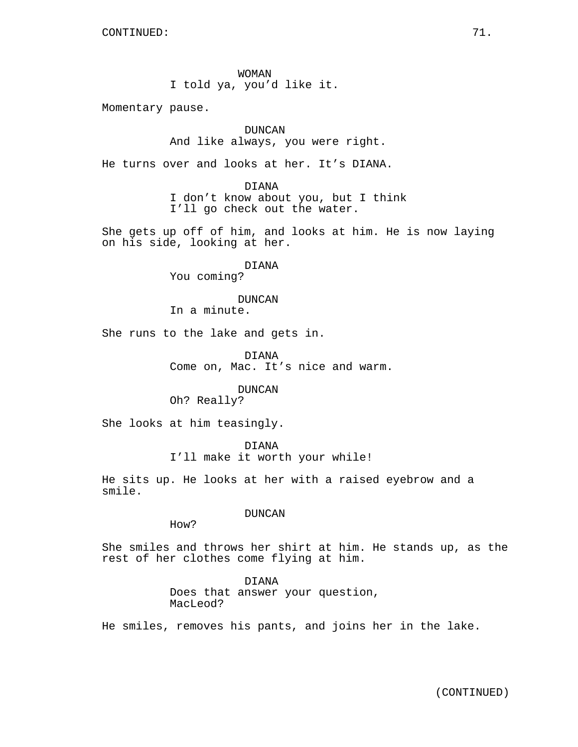WOMAN I told ya, you'd like it.

Momentary pause.

DUNCAN And like always, you were right.

He turns over and looks at her. It's DIANA.

DIANA I don't know about you, but I think I'll go check out the water.

She gets up off of him, and looks at him. He is now laying on his side, looking at her.

DIANA

You coming?

# DUNCAN

In a minute.

She runs to the lake and gets in.

DIANA Come on, Mac. It's nice and warm.

DUNCAN

Oh? Really?

She looks at him teasingly.

DIANA

I'll make it worth your while!

He sits up. He looks at her with a raised eyebrow and a smile.

DUNCAN

How?

She smiles and throws her shirt at him. He stands up, as the rest of her clothes come flying at him.

> DIANA Does that answer your question, MacLeod?

He smiles, removes his pants, and joins her in the lake.

(CONTINUED)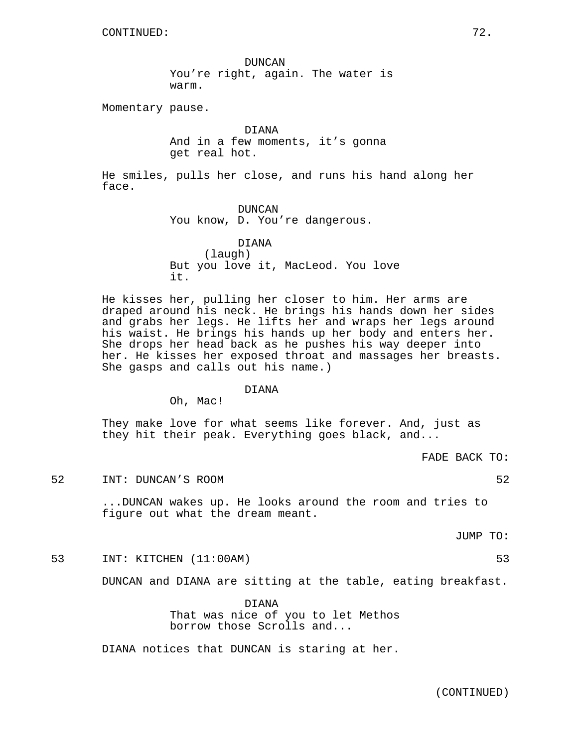DUNCAN You're right, again. The water is warm.

Momentary pause.

DIANA And in a few moments, it's gonna get real hot.

He smiles, pulls her close, and runs his hand along her face.

> DUNCAN You know, D. You're dangerous.

DIANA (laugh) But you love it, MacLeod. You love it.

He kisses her, pulling her closer to him. Her arms are draped around his neck. He brings his hands down her sides and grabs her legs. He lifts her and wraps her legs around his waist. He brings his hands up her body and enters her. She drops her head back as he pushes his way deeper into her. He kisses her exposed throat and massages her breasts. She gasps and calls out his name.)

DIANA

Oh, Mac!

They make love for what seems like forever. And, just as they hit their peak. Everything goes black, and...

FADE BACK TO:

52 INT: DUNCAN'S ROOM 52

...DUNCAN wakes up. He looks around the room and tries to figure out what the dream meant.

JUMP TO:

53 INT: KITCHEN (11:00AM) 53

DUNCAN and DIANA are sitting at the table, eating breakfast.

DIANA That was nice of you to let Methos borrow those Scrolls and...

DIANA notices that DUNCAN is staring at her.

(CONTINUED)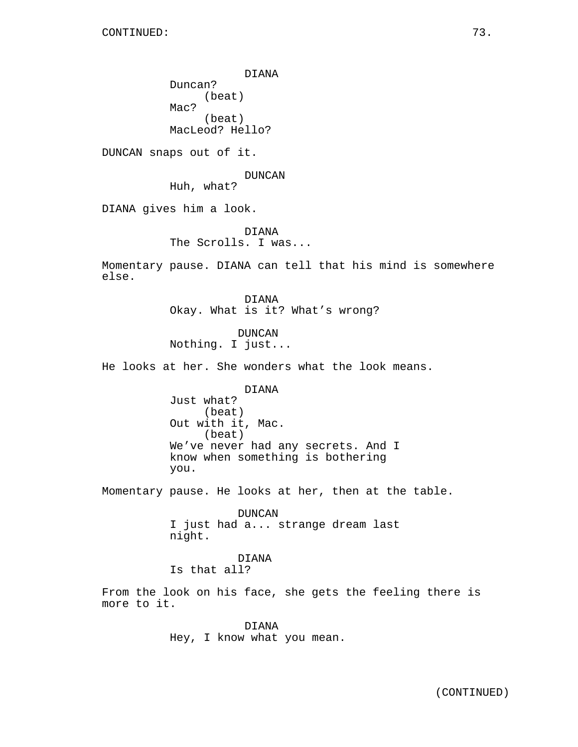DIANA Duncan? (beat) Mac? (beat) MacLeod? Hello?

DUNCAN snaps out of it.

DUNCAN

Huh, what?

DIANA gives him a look.

DIANA The Scrolls. I was...

Momentary pause. DIANA can tell that his mind is somewhere else.

> DIANA Okay. What is it? What's wrong?

DUNCAN Nothing. I just...

He looks at her. She wonders what the look means.

DIANA

Just what? (beat) Out with it, Mac. (beat) We've never had any secrets. And I know when something is bothering you.

Momentary pause. He looks at her, then at the table.

DUNCAN I just had a... strange dream last night.

DIANA Is that all?

From the look on his face, she gets the feeling there is more to it.

> DIANA Hey, I know what you mean.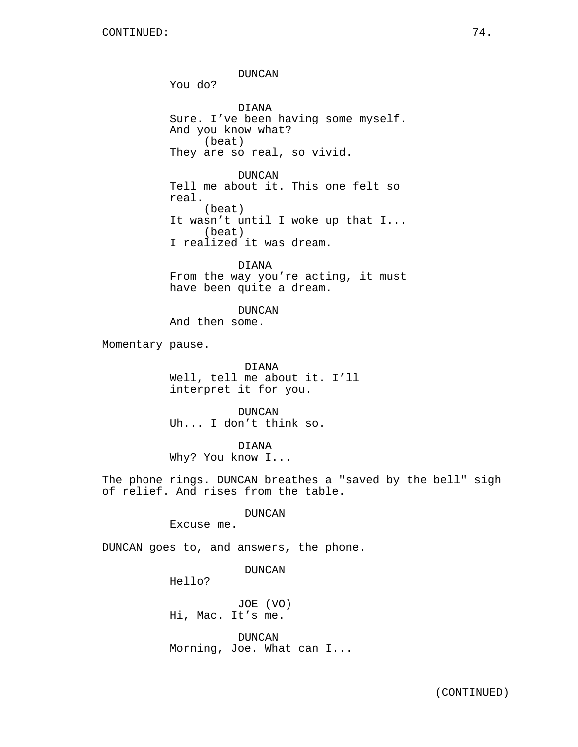DUNCAN You do? DIANA Sure. I've been having some myself. And you know what? (beat) They are so real, so vivid. DUNCAN Tell me about it. This one felt so real. (beat) It wasn't until I woke up that I... (beat) I realized it was dream. DIANA From the way you're acting, it must have been quite a dream. DUNCAN And then some. Momentary pause. DIANA Well, tell me about it. I'll interpret it for you. DUNCAN Uh... I don't think so. DIANA Why? You know I... The phone rings. DUNCAN breathes a "saved by the bell" sigh of relief. And rises from the table. DUNCAN Excuse me. DUNCAN goes to, and answers, the phone. DUNCAN Hello? JOE (VO) Hi, Mac. It's me.

> DUNCAN Morning, Joe. What can I...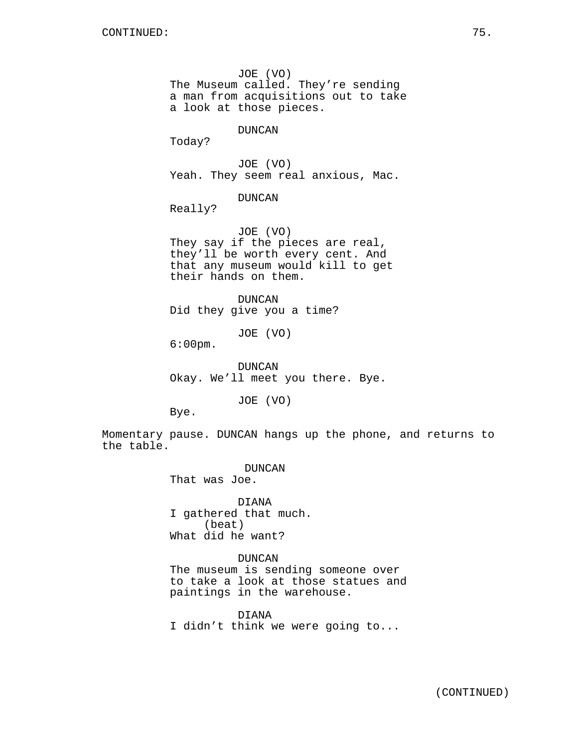JOE (VO) The Museum called. They're sending a man from acquisitions out to take a look at those pieces.

DUNCAN

Today?

JOE (VO) Yeah. They seem real anxious, Mac.

DUNCAN

Really?

JOE (VO) They say if the pieces are real, they'll be worth every cent. And that any museum would kill to get their hands on them.

DUNCAN Did they give you a time?

JOE (VO)

6:00pm.

DUNCAN Okay. We'll meet you there. Bye.

JOE (VO)

Bye.

Momentary pause. DUNCAN hangs up the phone, and returns to the table.

DUNCAN

That was Joe.

DIANA I gathered that much. (beat) What did he want?

## DUNCAN

The museum is sending someone over to take a look at those statues and paintings in the warehouse.

DIANA I didn't think we were going to...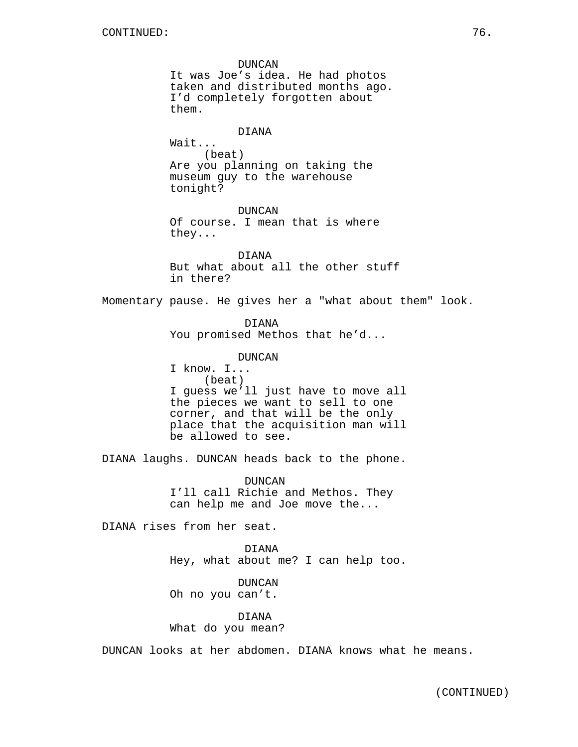DUNCAN It was Joe's idea. He had photos taken and distributed months ago. I'd completely forgotten about them. DIANA Wait... (beat) Are you planning on taking the museum guy to the warehouse tonight? DUNCAN Of course. I mean that is where they... DIANA But what about all the other stuff in there? Momentary pause. He gives her a "what about them" look. DIANA You promised Methos that he'd... DUNCAN I know. I... (beat) I guess we'll just have to move all the pieces we want to sell to one corner, and that will be the only place that the acquisition man will be allowed to see. DIANA laughs. DUNCAN heads back to the phone. DUNCAN I'll call Richie and Methos. They can help me and Joe move the... DIANA rises from her seat. DIANA Hey, what about me? I can help too. DUNCAN Oh no you can't. DIANA What do you mean?

DUNCAN looks at her abdomen. DIANA knows what he means.

(CONTINUED)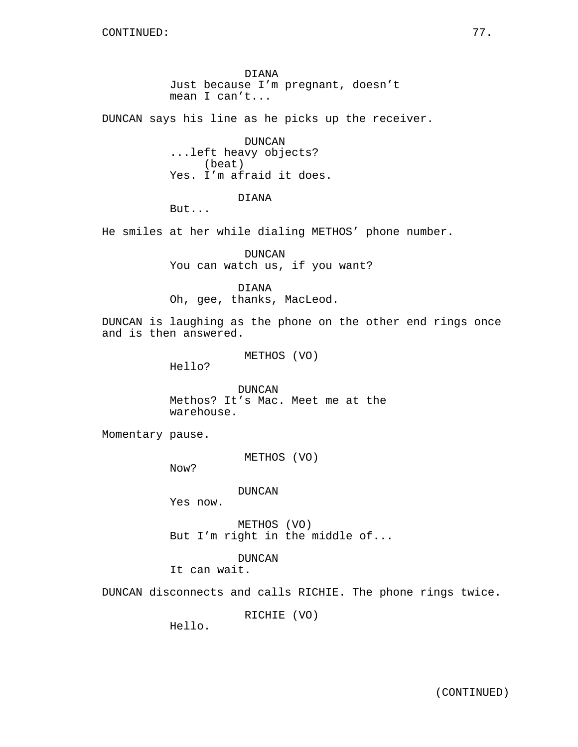DIANA Just because I'm pregnant, doesn't mean I can't...

DUNCAN says his line as he picks up the receiver.

DUNCAN ...left heavy objects? (beat) Yes. I'm afraid it does.

DIANA

But...

He smiles at her while dialing METHOS' phone number.

DUNCAN You can watch us, if you want?

DIANA Oh, gee, thanks, MacLeod.

DUNCAN is laughing as the phone on the other end rings once and is then answered.

METHOS (VO)

Hello?

DUNCAN Methos? It's Mac. Meet me at the warehouse.

Momentary pause.

METHOS (VO)

Now?

DUNCAN

Yes now.

METHOS (VO) But I'm right in the middle of...

DUNCAN

It can wait.

DUNCAN disconnects and calls RICHIE. The phone rings twice.

RICHIE (VO)

Hello.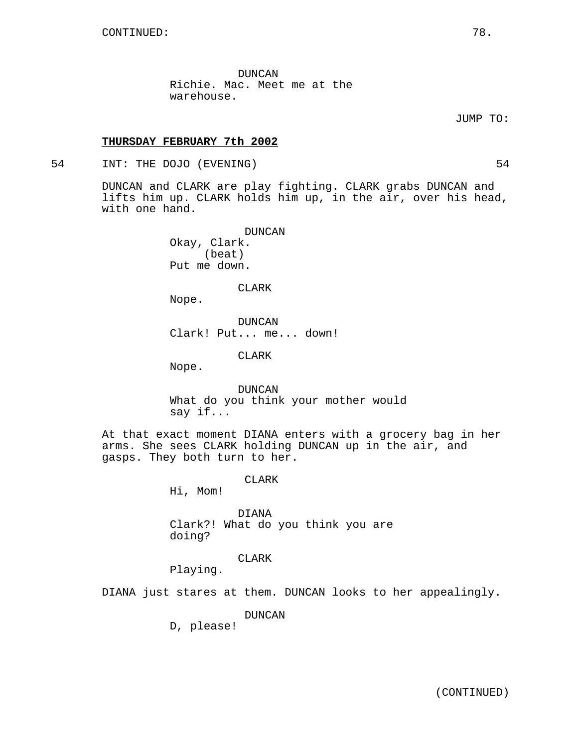DUNCAN Richie. Mac. Meet me at the warehouse.

JUMP TO:

## **THURSDAY FEBRUARY 7th 2002**

54 INT: THE DOJO (EVENING) 54

DUNCAN and CLARK are play fighting. CLARK grabs DUNCAN and lifts him up. CLARK holds him up, in the air, over his head, with one hand.

> DUNCAN Okay, Clark. (beat) Put me down.

> > CLARK

Nope.

DUNCAN Clark! Put... me... down!

CLARK

Nope.

DUNCAN What do you think your mother would say if...

At that exact moment DIANA enters with a grocery bag in her arms. She sees CLARK holding DUNCAN up in the air, and gasps. They both turn to her.

## CLARK

Hi, Mom!

DIANA Clark?! What do you think you are doing?

CLARK

Playing.

DIANA just stares at them. DUNCAN looks to her appealingly.

DUNCAN

D, please!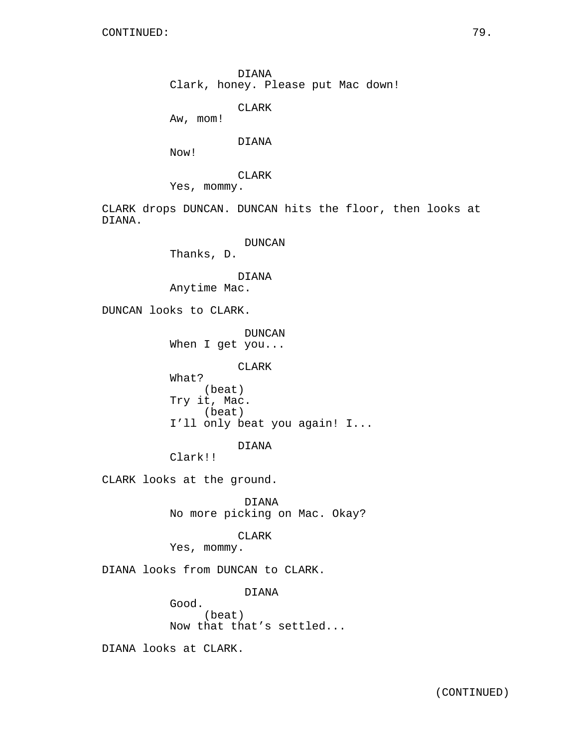DIANA Clark, honey. Please put Mac down!

CLARK

Aw, mom!

DIANA

Now!

CLARK

Yes, mommy.

CLARK drops DUNCAN. DUNCAN hits the floor, then looks at DIANA.

DUNCAN

Thanks, D.

DIANA

Anytime Mac.

DUNCAN looks to CLARK.

DUNCAN When I get you...

CLARK

What? (beat) Try it, Mac. (beat) I'll only beat you again! I...

DIANA

Clark!!

CLARK looks at the ground.

DIANA No more picking on Mac. Okay?

CLARK

Yes, mommy.

DIANA looks from DUNCAN to CLARK.

DIANA

(beat) Now that that's settled...

DIANA looks at CLARK.

Good.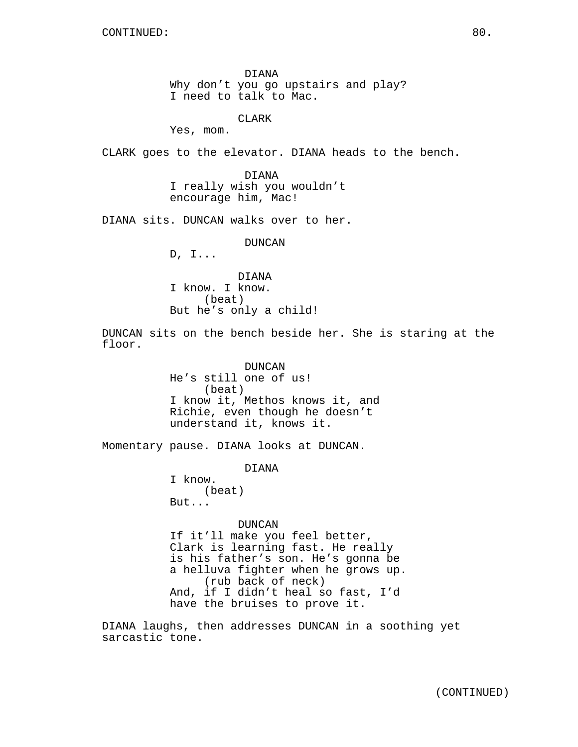DIANA Why don't you go upstairs and play? I need to talk to Mac.

CLARK

Yes, mom.

CLARK goes to the elevator. DIANA heads to the bench.

DIANA I really wish you wouldn't encourage him, Mac!

DIANA sits. DUNCAN walks over to her.

DUNCAN

D, I...

DIANA I know. I know. (beat) But he's only a child!

DUNCAN sits on the bench beside her. She is staring at the floor.

> DUNCAN He's still one of us! (beat) I know it, Methos knows it, and Richie, even though he doesn't understand it, knows it.

Momentary pause. DIANA looks at DUNCAN.

DIANA

I know. (beat) But...

DUNCAN

If it'll make you feel better, Clark is learning fast. He really is his father's son. He's gonna be a helluva fighter when he grows up. (rub back of neck) And, if I didn't heal so fast, I'd have the bruises to prove it.

DIANA laughs, then addresses DUNCAN in a soothing yet sarcastic tone.